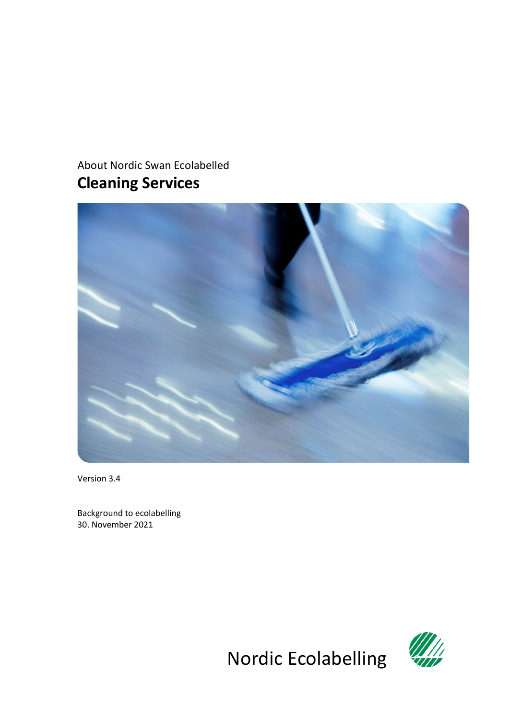# About Nordic Swan Ecolabelled **Cleaning Services**

<span id="page-0-0"></span>

<span id="page-0-1"></span>Version 3.4

Background to ecolabelling 30. November 2021



Nordic Ecolabelling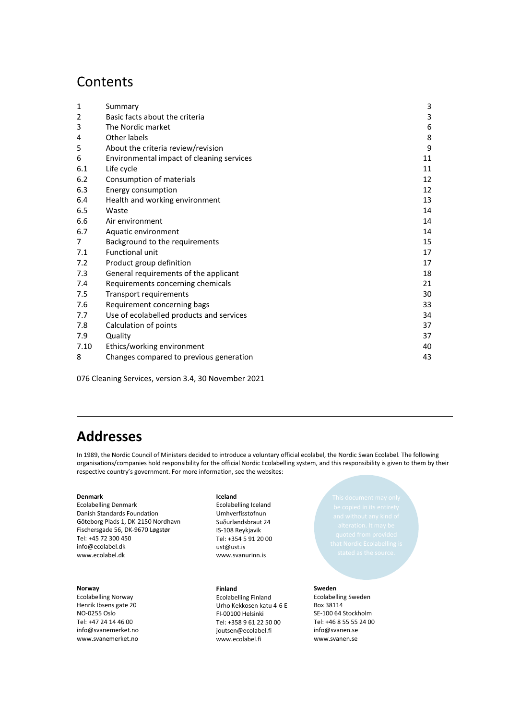## **Contents**

| 1    | Summary                                   | 3  |
|------|-------------------------------------------|----|
| 2    | Basic facts about the criteria            | 3  |
| 3    | The Nordic market                         | 6  |
| 4    | Other labels                              | 8  |
| 5    | About the criteria review/revision        | 9  |
| 6    | Environmental impact of cleaning services | 11 |
| 6.1  | Life cycle                                | 11 |
| 6.2  | Consumption of materials                  | 12 |
| 6.3  | Energy consumption                        | 12 |
| 6.4  | Health and working environment            | 13 |
| 6.5  | Waste                                     | 14 |
| 6.6  | Air environment                           | 14 |
| 6.7  | Aquatic environment                       | 14 |
| 7    | Background to the requirements            | 15 |
| 7.1  | <b>Functional unit</b>                    | 17 |
| 7.2  | Product group definition                  | 17 |
| 7.3  | General requirements of the applicant     | 18 |
| 7.4  | Requirements concerning chemicals         | 21 |
| 7.5  | Transport requirements                    | 30 |
| 7.6  | Requirement concerning bags               | 33 |
| 7.7  | Use of ecolabelled products and services  | 34 |
| 7.8  | Calculation of points                     | 37 |
| 7.9  | Quality                                   | 37 |
| 7.10 | Ethics/working environment                | 40 |
| 8    | Changes compared to previous generation   | 43 |

<span id="page-1-1"></span><span id="page-1-0"></span>076 [Cleaning Services,](#page-0-0) version [3.4,](#page-0-1) 30 November 2021

# **Addresses**

In 1989, the Nordic Council of Ministers decided to introduce a voluntary official ecolabel, the Nordic Swan Ecolabel. The following organisations/companies hold responsibility for the official Nordic Ecolabelling system, and this responsibility is given to them by their respective country's government. For more information, see the websites:

#### **Denmark**

Ecolabelling Denmark Danish Standards Foundation Göteborg Plads 1, DK-2150 Nordhavn Fischersgade 56, DK-9670 Løgstør Tel: +45 72 300 450 info@ecolabel.dk www.ecolabel.dk

#### **Norway**

Ecolabelling Norway Henrik Ibsens gate 20 NO-0255 Oslo Tel: +47 24 14 46 00 info@svanemerket.no www.svanemerket.no

#### **Iceland**

Ecolabelling Iceland Umhverfisstofnun Suδurlandsbraut 24 IS-108 Reykjavik Tel: +354 5 91 20 00 ust@ust.is www.svanurinn.is

**Finland** Ecolabelling Finland

Urho Kekkosen katu 4-6 E FI-00100 Helsinki Tel: +358 9 61 22 50 00 joutsen@ecolabel.fi www.ecolabel.fi

#### **Sweden**

Ecolabelling Sweden Box 38114 SE-100 64 Stockholm Tel: +46 8 55 55 24 00 info@svanen.se www.svanen.se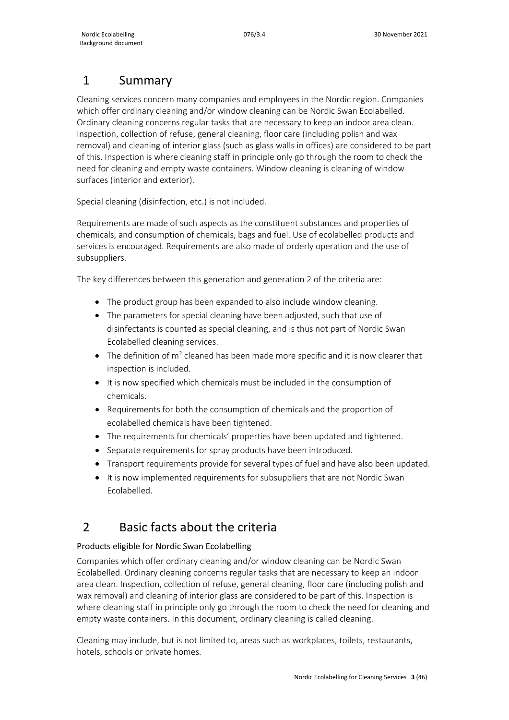## <span id="page-2-0"></span>1 Summary

Cleaning services concern many companies and employees in the Nordic region. Companies which offer ordinary cleaning and/or window cleaning can be Nordic Swan Ecolabelled. Ordinary cleaning concerns regular tasks that are necessary to keep an indoor area clean. Inspection, collection of refuse, general cleaning, floor care (including polish and wax removal) and cleaning of interior glass (such as glass walls in offices) are considered to be part of this. Inspection is where cleaning staff in principle only go through the room to check the need for cleaning and empty waste containers. Window cleaning is cleaning of window surfaces (interior and exterior).

Special cleaning (disinfection, etc.) is not included.

Requirements are made of such aspects as the constituent substances and properties of chemicals, and consumption of chemicals, bags and fuel. Use of ecolabelled products and services is encouraged. Requirements are also made of orderly operation and the use of subsuppliers.

The key differences between this generation and generation 2 of the criteria are:

- The product group has been expanded to also include window cleaning.
- The parameters for special cleaning have been adjusted, such that use of disinfectants is counted as special cleaning, and is thus not part of Nordic Swan Ecolabelled cleaning services.
- The definition of  $m^2$  cleaned has been made more specific and it is now clearer that inspection is included.
- It is now specified which chemicals must be included in the consumption of chemicals.
- Requirements for both the consumption of chemicals and the proportion of ecolabelled chemicals have been tightened.
- The requirements for chemicals' properties have been updated and tightened.
- Separate requirements for spray products have been introduced.
- Transport requirements provide for several types of fuel and have also been updated.
- It is now implemented requirements for subsuppliers that are not Nordic Swan Ecolabelled.

## <span id="page-2-1"></span>2 Basic facts about the criteria

## Products eligible for Nordic Swan Ecolabelling

Companies which offer ordinary cleaning and/or window cleaning can be Nordic Swan Ecolabelled. Ordinary cleaning concerns regular tasks that are necessary to keep an indoor area clean. Inspection, collection of refuse, general cleaning, floor care (including polish and wax removal) and cleaning of interior glass are considered to be part of this. Inspection is where cleaning staff in principle only go through the room to check the need for cleaning and empty waste containers. In this document, ordinary cleaning is called cleaning.

Cleaning may include, but is not limited to, areas such as workplaces, toilets, restaurants, hotels, schools or private homes.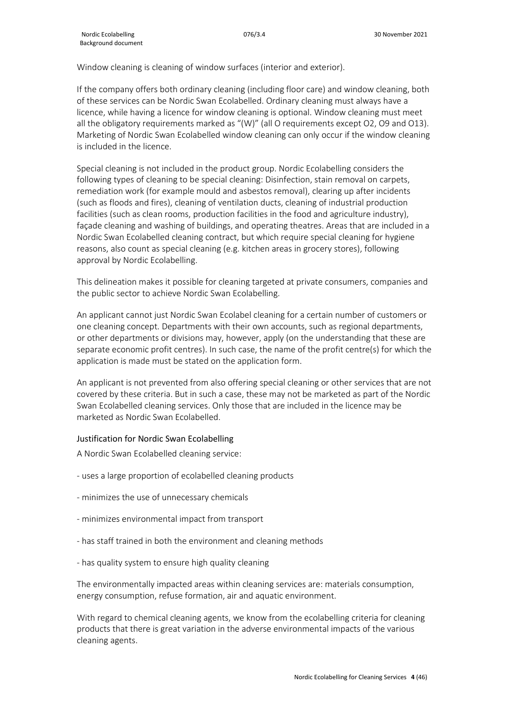Window cleaning is cleaning of window surfaces (interior and exterior).

If the company offers both ordinary cleaning (including floor care) and window cleaning, both of these services can be Nordic Swan Ecolabelled. Ordinary cleaning must always have a licence, while having a licence for window cleaning is optional. Window cleaning must meet all the obligatory requirements marked as "(W)" (all O requirements except O2, O9 and O13). Marketing of Nordic Swan Ecolabelled window cleaning can only occur if the window cleaning is included in the licence.

Special cleaning is not included in the product group. Nordic Ecolabelling considers the following types of cleaning to be special cleaning: Disinfection, stain removal on carpets, remediation work (for example mould and asbestos removal), clearing up after incidents (such as floods and fires), cleaning of ventilation ducts, cleaning of industrial production facilities (such as clean rooms, production facilities in the food and agriculture industry), façade cleaning and washing of buildings, and operating theatres. Areas that are included in a Nordic Swan Ecolabelled cleaning contract, but which require special cleaning for hygiene reasons, also count as special cleaning (e.g. kitchen areas in grocery stores), following approval by Nordic Ecolabelling.

This delineation makes it possible for cleaning targeted at private consumers, companies and the public sector to achieve Nordic Swan Ecolabelling.

An applicant cannot just Nordic Swan Ecolabel cleaning for a certain number of customers or one cleaning concept. Departments with their own accounts, such as regional departments, or other departments or divisions may, however, apply (on the understanding that these are separate economic profit centres). In such case, the name of the profit centre(s) for which the application is made must be stated on the application form.

An applicant is not prevented from also offering special cleaning or other services that are not covered by these criteria. But in such a case, these may not be marketed as part of the Nordic Swan Ecolabelled cleaning services. Only those that are included in the licence may be marketed as Nordic Swan Ecolabelled.

#### Justification for Nordic Swan Ecolabelling

A Nordic Swan Ecolabelled cleaning service:

- uses a large proportion of ecolabelled cleaning products
- minimizes the use of unnecessary chemicals
- minimizes environmental impact from transport
- has staff trained in both the environment and cleaning methods
- has quality system to ensure high quality cleaning

The environmentally impacted areas within cleaning services are: materials consumption, energy consumption, refuse formation, air and aquatic environment.

With regard to chemical cleaning agents, we know from the ecolabelling criteria for cleaning products that there is great variation in the adverse environmental impacts of the various cleaning agents.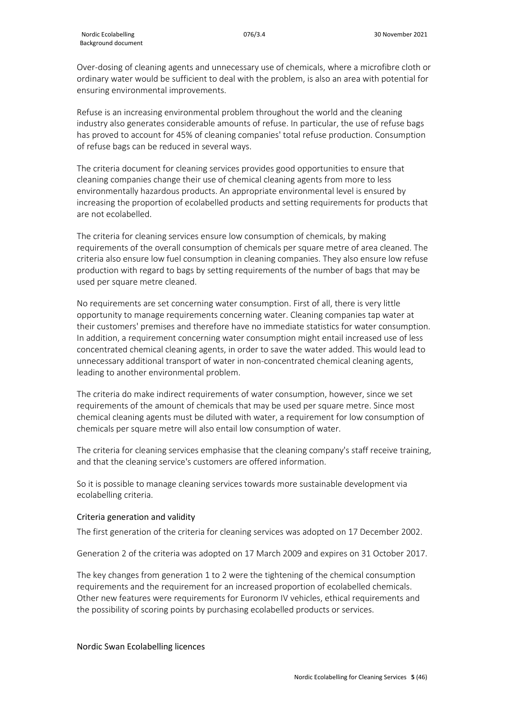Over-dosing of cleaning agents and unnecessary use of chemicals, where a microfibre cloth or ordinary water would be sufficient to deal with the problem, is also an area with potential for ensuring environmental improvements.

Refuse is an increasing environmental problem throughout the world and the cleaning industry also generates considerable amounts of refuse. In particular, the use of refuse bags has proved to account for 45% of cleaning companies' total refuse production. Consumption of refuse bags can be reduced in several ways.

The criteria document for cleaning services provides good opportunities to ensure that cleaning companies change their use of chemical cleaning agents from more to less environmentally hazardous products. An appropriate environmental level is ensured by increasing the proportion of ecolabelled products and setting requirements for products that are not ecolabelled.

The criteria for cleaning services ensure low consumption of chemicals, by making requirements of the overall consumption of chemicals per square metre of area cleaned. The criteria also ensure low fuel consumption in cleaning companies. They also ensure low refuse production with regard to bags by setting requirements of the number of bags that may be used per square metre cleaned.

No requirements are set concerning water consumption. First of all, there is very little opportunity to manage requirements concerning water. Cleaning companies tap water at their customers' premises and therefore have no immediate statistics for water consumption. In addition, a requirement concerning water consumption might entail increased use of less concentrated chemical cleaning agents, in order to save the water added. This would lead to unnecessary additional transport of water in non-concentrated chemical cleaning agents, leading to another environmental problem.

The criteria do make indirect requirements of water consumption, however, since we set requirements of the amount of chemicals that may be used per square metre. Since most chemical cleaning agents must be diluted with water, a requirement for low consumption of chemicals per square metre will also entail low consumption of water.

The criteria for cleaning services emphasise that the cleaning company's staff receive training, and that the cleaning service's customers are offered information.

So it is possible to manage cleaning services towards more sustainable development via ecolabelling criteria.

#### Criteria generation and validity

The first generation of the criteria for cleaning services was adopted on 17 December 2002.

Generation 2 of the criteria was adopted on 17 March 2009 and expires on 31 October 2017.

The key changes from generation 1 to 2 were the tightening of the chemical consumption requirements and the requirement for an increased proportion of ecolabelled chemicals. Other new features were requirements for Euronorm IV vehicles, ethical requirements and the possibility of scoring points by purchasing ecolabelled products or services.

#### Nordic Swan Ecolabelling licences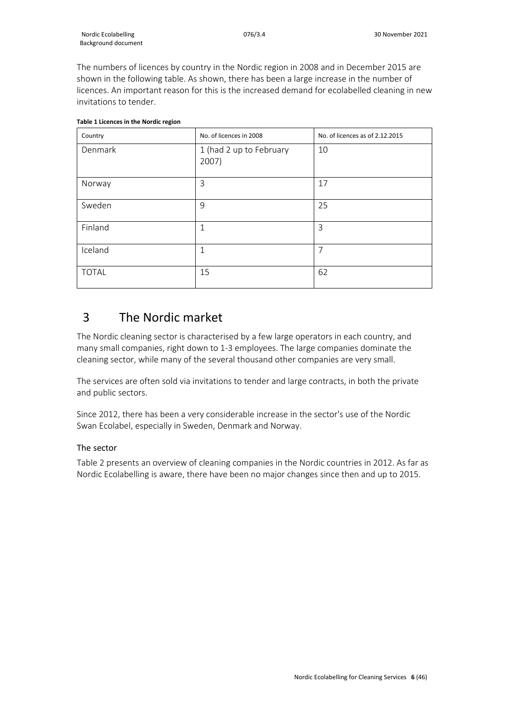The numbers of licences by country in the Nordic region in 2008 and in December 2015 are shown in the following table. As shown, there has been a large increase in the number of licences. An important reason for this is the increased demand for ecolabelled cleaning in new invitations to tender.

| Country      | No. of licences in 2008          | No. of licences as of 2.12.2015 |
|--------------|----------------------------------|---------------------------------|
| Denmark      | 1 (had 2 up to February<br>2007) | 10                              |
| Norway       | 3                                | 17                              |
| Sweden       | 9                                | 25                              |
| Finland      | $\mathbf{1}$                     | 3                               |
| Iceland      | $\mathbf{1}$                     | $\overline{7}$                  |
| <b>TOTAL</b> | 15                               | 62                              |

#### **Table 1 Licences in the Nordic region**

## <span id="page-5-0"></span>3 The Nordic market

The Nordic cleaning sector is characterised by a few large operators in each country, and many small companies, right down to 1-3 employees. The large companies dominate the cleaning sector, while many of the several thousand other companies are very small.

The services are often sold via invitations to tender and large contracts, in both the private and public sectors.

Since 2012, there has been a very considerable increase in the sector's use of the Nordic Swan Ecolabel, especially in Sweden, Denmark and Norway.

### The sector

Table 2 presents an overview of cleaning companies in the Nordic countries in 2012. As far as Nordic Ecolabelling is aware, there have been no major changes since then and up to 2015.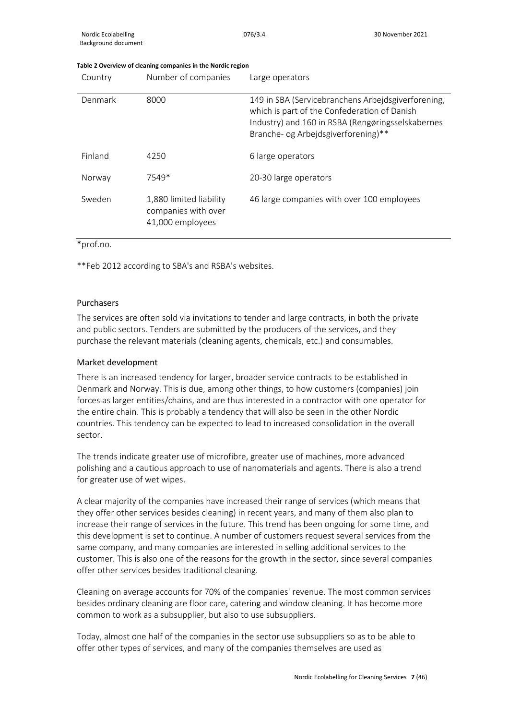#### **Table 2 Overview of cleaning companies in the Nordic region**

| Country | Number of companies                                                | Large operators                                                                                                                                                                                |
|---------|--------------------------------------------------------------------|------------------------------------------------------------------------------------------------------------------------------------------------------------------------------------------------|
| Denmark | 8000                                                               | 149 in SBA (Servicebranchens Arbeidsgiverforening,<br>which is part of the Confederation of Danish<br>Industry) and 160 in RSBA (Rengøringsselskabernes<br>Branche- og Arbejdsgiverforening)** |
| Finland | 4250                                                               | 6 large operators                                                                                                                                                                              |
| Norway  | 7549*                                                              | 20-30 large operators                                                                                                                                                                          |
| Sweden  | 1,880 limited liability<br>companies with over<br>41,000 employees | 46 large companies with over 100 employees                                                                                                                                                     |

\*prof.no.

\*\*Feb 2012 according to SBA's and RSBA's websites.

#### Purchasers

The services are often sold via invitations to tender and large contracts, in both the private and public sectors. Tenders are submitted by the producers of the services, and they purchase the relevant materials (cleaning agents, chemicals, etc.) and consumables.

#### Market development

There is an increased tendency for larger, broader service contracts to be established in Denmark and Norway. This is due, among other things, to how customers (companies) join forces as larger entities/chains, and are thus interested in a contractor with one operator for the entire chain. This is probably a tendency that will also be seen in the other Nordic countries. This tendency can be expected to lead to increased consolidation in the overall sector.

The trends indicate greater use of microfibre, greater use of machines, more advanced polishing and a cautious approach to use of nanomaterials and agents. There is also a trend for greater use of wet wipes.

A clear majority of the companies have increased their range of services (which means that they offer other services besides cleaning) in recent years, and many of them also plan to increase their range of services in the future. This trend has been ongoing for some time, and this development is set to continue. A number of customers request several services from the same company, and many companies are interested in selling additional services to the customer. This is also one of the reasons for the growth in the sector, since several companies offer other services besides traditional cleaning.

Cleaning on average accounts for 70% of the companies' revenue. The most common services besides ordinary cleaning are floor care, catering and window cleaning. It has become more common to work as a subsupplier, but also to use subsuppliers.

Today, almost one half of the companies in the sector use subsuppliers so as to be able to offer other types of services, and many of the companies themselves are used as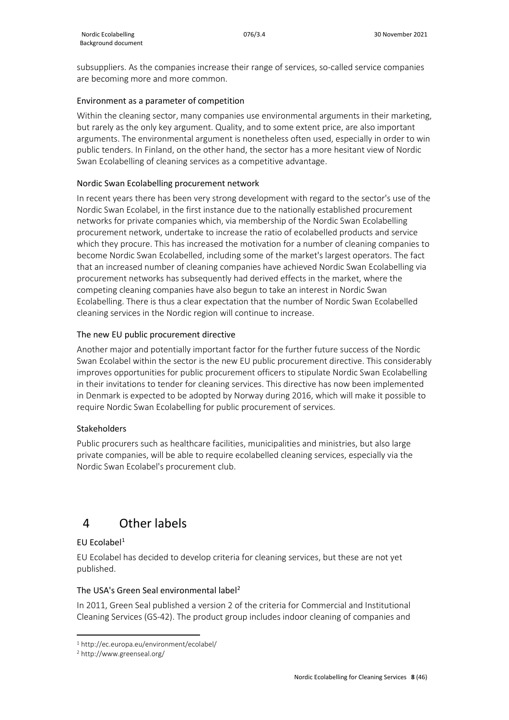subsuppliers. As the companies increase their range of services, so-called service companies are becoming more and more common.

## Environment as a parameter of competition

Within the cleaning sector, many companies use environmental arguments in their marketing, but rarely as the only key argument. Quality, and to some extent price, are also important arguments. The environmental argument is nonetheless often used, especially in order to win public tenders. In Finland, on the other hand, the sector has a more hesitant view of Nordic Swan Ecolabelling of cleaning services as a competitive advantage.

## Nordic Swan Ecolabelling procurement network

In recent years there has been very strong development with regard to the sector's use of the Nordic Swan Ecolabel, in the first instance due to the nationally established procurement networks for private companies which, via membership of the Nordic Swan Ecolabelling procurement network, undertake to increase the ratio of ecolabelled products and service which they procure. This has increased the motivation for a number of cleaning companies to become Nordic Swan Ecolabelled, including some of the market's largest operators. The fact that an increased number of cleaning companies have achieved Nordic Swan Ecolabelling via procurement networks has subsequently had derived effects in the market, where the competing cleaning companies have also begun to take an interest in Nordic Swan Ecolabelling. There is thus a clear expectation that the number of Nordic Swan Ecolabelled cleaning services in the Nordic region will continue to increase.

## The new EU public procurement directive

Another major and potentially important factor for the further future success of the Nordic Swan Ecolabel within the sector is the new EU public procurement directive. This considerably improves opportunities for public procurement officers to stipulate Nordic Swan Ecolabelling in their invitations to tender for cleaning services. This directive has now been implemented in Denmark is expected to be adopted by Norway during 2016, which will make it possible to require Nordic Swan Ecolabelling for public procurement of services.

## Stakeholders

Public procurers such as healthcare facilities, municipalities and ministries, but also large private companies, will be able to require ecolabelled cleaning services, especially via the Nordic Swan Ecolabel's procurement club.

## <span id="page-7-0"></span>4 Other labels

## $EU$  Ecolabel<sup>[1](#page-7-1)</sup>

EU Ecolabel has decided to develop criteria for cleaning services, but these are not yet published.

## The USA's Green Seal environmental label<sup>[2](#page-7-2)</sup>

In 2011, Green Seal published a version 2 of the criteria for Commercial and Institutional Cleaning Services (GS-42). The product group includes indoor cleaning of companies and

<span id="page-7-1"></span><sup>1</sup> http://ec.europa.eu/environment/ecolabel/

<span id="page-7-2"></span><sup>2</sup> http://www.greenseal.org/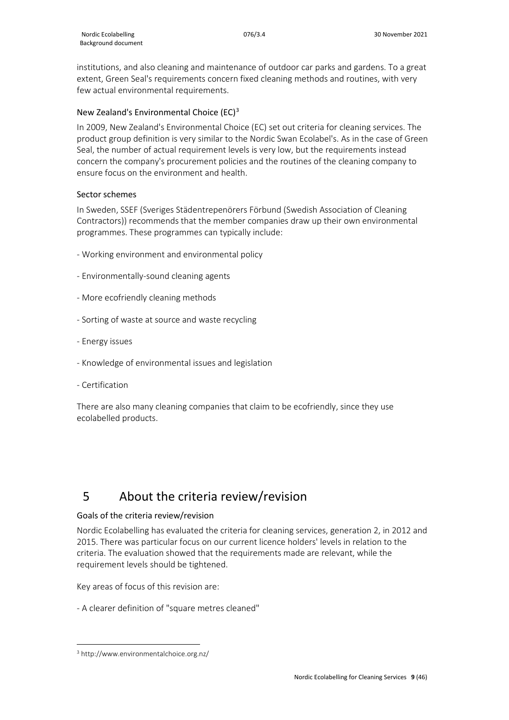institutions, and also cleaning and maintenance of outdoor car parks and gardens. To a great extent, Green Seal's requirements concern fixed cleaning methods and routines, with very few actual environmental requirements.

## New Zealand's Environmental Choice (EC)[3](#page-8-1)

In 2009, New Zealand's Environmental Choice (EC) set out criteria for cleaning services. The product group definition is very similar to the Nordic Swan Ecolabel's. As in the case of Green Seal, the number of actual requirement levels is very low, but the requirements instead concern the company's procurement policies and the routines of the cleaning company to ensure focus on the environment and health.

#### Sector schemes

In Sweden, SSEF (Sveriges Städentrepenörers Förbund (Swedish Association of Cleaning Contractors)) recommends that the member companies draw up their own environmental programmes. These programmes can typically include:

- Working environment and environmental policy
- Environmentally-sound cleaning agents
- More ecofriendly cleaning methods
- Sorting of waste at source and waste recycling
- Energy issues
- Knowledge of environmental issues and legislation
- Certification

There are also many cleaning companies that claim to be ecofriendly, since they use ecolabelled products.

## <span id="page-8-0"></span>5 About the criteria review/revision

#### Goals of the criteria review/revision

Nordic Ecolabelling has evaluated the criteria for cleaning services, generation 2, in 2012 and 2015. There was particular focus on our current licence holders' levels in relation to the criteria. The evaluation showed that the requirements made are relevant, while the requirement levels should be tightened.

Key areas of focus of this revision are:

- A clearer definition of "square metres cleaned"

<span id="page-8-1"></span><sup>3</sup> http://www.environmentalchoice.org.nz/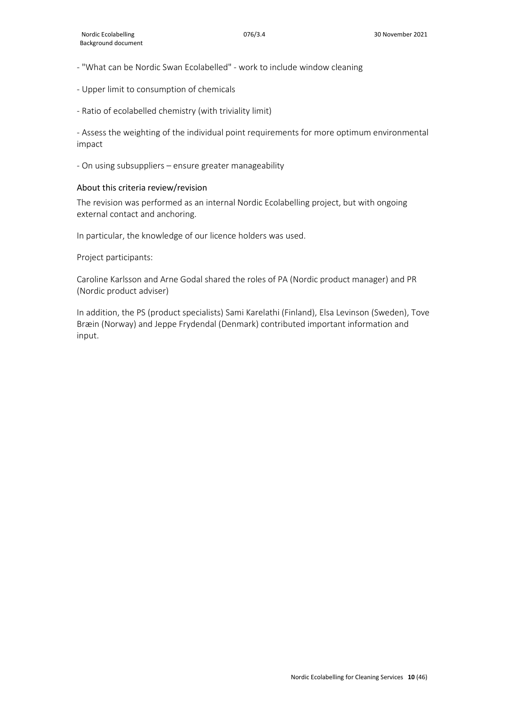- "What can be Nordic Swan Ecolabelled" work to include window cleaning
- Upper limit to consumption of chemicals
- Ratio of ecolabelled chemistry (with triviality limit)

- Assess the weighting of the individual point requirements for more optimum environmental impact

- On using subsuppliers – ensure greater manageability

#### About this criteria review/revision

The revision was performed as an internal Nordic Ecolabelling project, but with ongoing external contact and anchoring.

In particular, the knowledge of our licence holders was used.

Project participants:

Caroline Karlsson and Arne Godal shared the roles of PA (Nordic product manager) and PR (Nordic product adviser)

In addition, the PS (product specialists) Sami Karelathi (Finland), Elsa Levinson (Sweden), Tove Bræin (Norway) and Jeppe Frydendal (Denmark) contributed important information and input.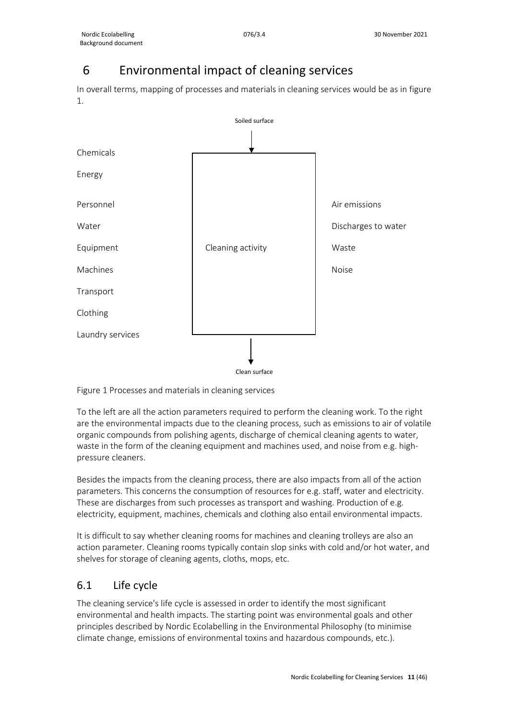# <span id="page-10-0"></span>6 Environmental impact of cleaning services

In overall terms, mapping of processes and materials in cleaning services would be as in figure 1.



Figure 1 Processes and materials in cleaning services

To the left are all the action parameters required to perform the cleaning work. To the right are the environmental impacts due to the cleaning process, such as emissions to air of volatile organic compounds from polishing agents, discharge of chemical cleaning agents to water, waste in the form of the cleaning equipment and machines used, and noise from e.g. highpressure cleaners.

Besides the impacts from the cleaning process, there are also impacts from all of the action parameters. This concerns the consumption of resources for e.g. staff, water and electricity. These are discharges from such processes as transport and washing. Production of e.g. electricity, equipment, machines, chemicals and clothing also entail environmental impacts.

It is difficult to say whether cleaning rooms for machines and cleaning trolleys are also an action parameter. Cleaning rooms typically contain slop sinks with cold and/or hot water, and shelves for storage of cleaning agents, cloths, mops, etc.

## <span id="page-10-1"></span>6.1 Life cycle

The cleaning service's life cycle is assessed in order to identify the most significant environmental and health impacts. The starting point was environmental goals and other principles described by Nordic Ecolabelling in the Environmental Philosophy (to minimise climate change, emissions of environmental toxins and hazardous compounds, etc.).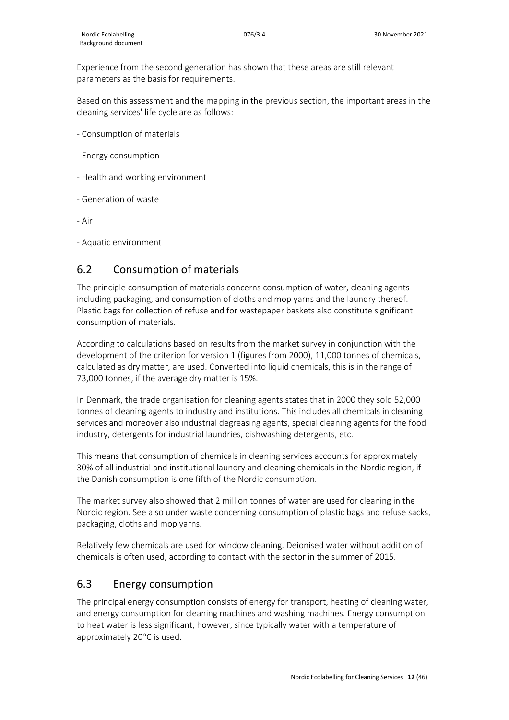Experience from the second generation has shown that these areas are still relevant parameters as the basis for requirements.

Based on this assessment and the mapping in the previous section, the important areas in the cleaning services' life cycle are as follows:

- Consumption of materials
- Energy consumption
- Health and working environment
- Generation of waste

- Air

- Aquatic environment

## <span id="page-11-0"></span>6.2 Consumption of materials

The principle consumption of materials concerns consumption of water, cleaning agents including packaging, and consumption of cloths and mop yarns and the laundry thereof. Plastic bags for collection of refuse and for wastepaper baskets also constitute significant consumption of materials.

According to calculations based on results from the market survey in conjunction with the development of the criterion for version 1 (figures from 2000), 11,000 tonnes of chemicals, calculated as dry matter, are used. Converted into liquid chemicals, this is in the range of 73,000 tonnes, if the average dry matter is 15%.

In Denmark, the trade organisation for cleaning agents states that in 2000 they sold 52,000 tonnes of cleaning agents to industry and institutions. This includes all chemicals in cleaning services and moreover also industrial degreasing agents, special cleaning agents for the food industry, detergents for industrial laundries, dishwashing detergents, etc.

This means that consumption of chemicals in cleaning services accounts for approximately 30% of all industrial and institutional laundry and cleaning chemicals in the Nordic region, if the Danish consumption is one fifth of the Nordic consumption.

The market survey also showed that 2 million tonnes of water are used for cleaning in the Nordic region. See also under waste concerning consumption of plastic bags and refuse sacks, packaging, cloths and mop yarns.

Relatively few chemicals are used for window cleaning. Deionised water without addition of chemicals is often used, according to contact with the sector in the summer of 2015.

## <span id="page-11-1"></span>6.3 Energy consumption

The principal energy consumption consists of energy for transport, heating of cleaning water, and energy consumption for cleaning machines and washing machines. Energy consumption to heat water is less significant, however, since typically water with a temperature of approximately 20°C is used.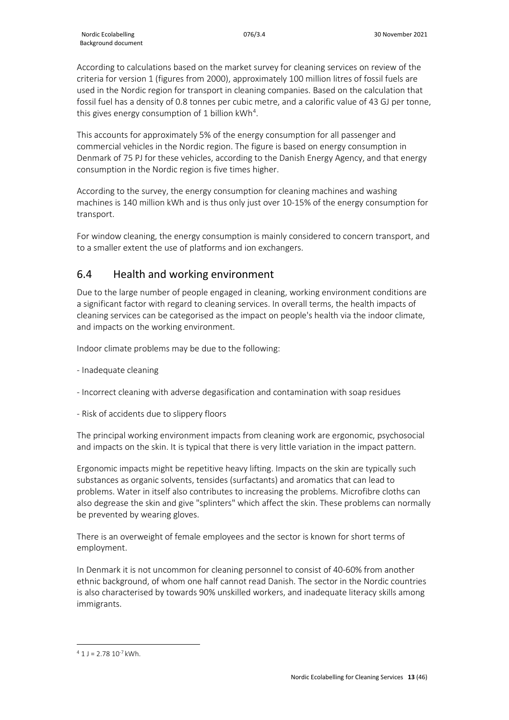According to calculations based on the market survey for cleaning services on review of the criteria for version 1 (figures from 2000), approximately 100 million litres of fossil fuels are used in the Nordic region for transport in cleaning companies. Based on the calculation that fossil fuel has a density of 0.8 tonnes per cubic metre, and a calorific value of 43 GJ per tonne, this gives energy consumption of 1 billion  $kWh^4$  $kWh^4$ .

This accounts for approximately 5% of the energy consumption for all passenger and commercial vehicles in the Nordic region. The figure is based on energy consumption in Denmark of 75 PJ for these vehicles, according to the Danish Energy Agency, and that energy consumption in the Nordic region is five times higher.

According to the survey, the energy consumption for cleaning machines and washing machines is 140 million kWh and is thus only just over 10-15% of the energy consumption for transport.

For window cleaning, the energy consumption is mainly considered to concern transport, and to a smaller extent the use of platforms and ion exchangers.

## <span id="page-12-0"></span>6.4 Health and working environment

Due to the large number of people engaged in cleaning, working environment conditions are a significant factor with regard to cleaning services. In overall terms, the health impacts of cleaning services can be categorised as the impact on people's health via the indoor climate, and impacts on the working environment.

Indoor climate problems may be due to the following:

- Inadequate cleaning
- Incorrect cleaning with adverse degasification and contamination with soap residues
- Risk of accidents due to slippery floors

The principal working environment impacts from cleaning work are ergonomic, psychosocial and impacts on the skin. It is typical that there is very little variation in the impact pattern.

Ergonomic impacts might be repetitive heavy lifting. Impacts on the skin are typically such substances as organic solvents, tensides (surfactants) and aromatics that can lead to problems. Water in itself also contributes to increasing the problems. Microfibre cloths can also degrease the skin and give "splinters" which affect the skin. These problems can normally be prevented by wearing gloves.

There is an overweight of female employees and the sector is known for short terms of employment.

In Denmark it is not uncommon for cleaning personnel to consist of 40-60% from another ethnic background, of whom one half cannot read Danish. The sector in the Nordic countries is also characterised by towards 90% unskilled workers, and inadequate literacy skills among immigrants.

<span id="page-12-1"></span> $4$  1 J = 2.78 10<sup>-7</sup> kWh.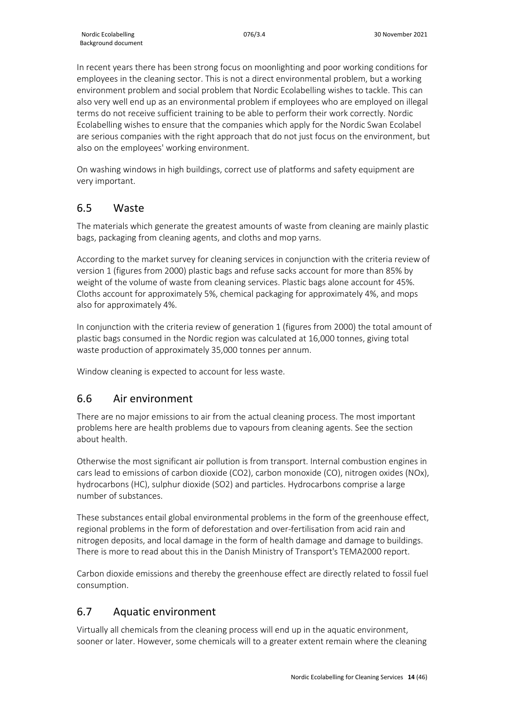In recent years there has been strong focus on moonlighting and poor working conditions for employees in the cleaning sector. This is not a direct environmental problem, but a working environment problem and social problem that Nordic Ecolabelling wishes to tackle. This can also very well end up as an environmental problem if employees who are employed on illegal terms do not receive sufficient training to be able to perform their work correctly. Nordic Ecolabelling wishes to ensure that the companies which apply for the Nordic Swan Ecolabel are serious companies with the right approach that do not just focus on the environment, but also on the employees' working environment.

On washing windows in high buildings, correct use of platforms and safety equipment are very important.

## <span id="page-13-0"></span>6.5 Waste

The materials which generate the greatest amounts of waste from cleaning are mainly plastic bags, packaging from cleaning agents, and cloths and mop yarns.

According to the market survey for cleaning services in conjunction with the criteria review of version 1 (figures from 2000) plastic bags and refuse sacks account for more than 85% by weight of the volume of waste from cleaning services. Plastic bags alone account for 45%. Cloths account for approximately 5%, chemical packaging for approximately 4%, and mops also for approximately 4%.

In conjunction with the criteria review of generation 1 (figures from 2000) the total amount of plastic bags consumed in the Nordic region was calculated at 16,000 tonnes, giving total waste production of approximately 35,000 tonnes per annum.

Window cleaning is expected to account for less waste.

## <span id="page-13-1"></span>6.6 Air environment

There are no major emissions to air from the actual cleaning process. The most important problems here are health problems due to vapours from cleaning agents. See the section about health.

Otherwise the most significant air pollution is from transport. Internal combustion engines in cars lead to emissions of carbon dioxide (CO2), carbon monoxide (CO), nitrogen oxides (NOx), hydrocarbons (HC), sulphur dioxide (SO2) and particles. Hydrocarbons comprise a large number of substances.

These substances entail global environmental problems in the form of the greenhouse effect, regional problems in the form of deforestation and over-fertilisation from acid rain and nitrogen deposits, and local damage in the form of health damage and damage to buildings. There is more to read about this in the Danish Ministry of Transport's TEMA2000 report.

Carbon dioxide emissions and thereby the greenhouse effect are directly related to fossil fuel consumption.

## <span id="page-13-2"></span>6.7 Aquatic environment

Virtually all chemicals from the cleaning process will end up in the aquatic environment, sooner or later. However, some chemicals will to a greater extent remain where the cleaning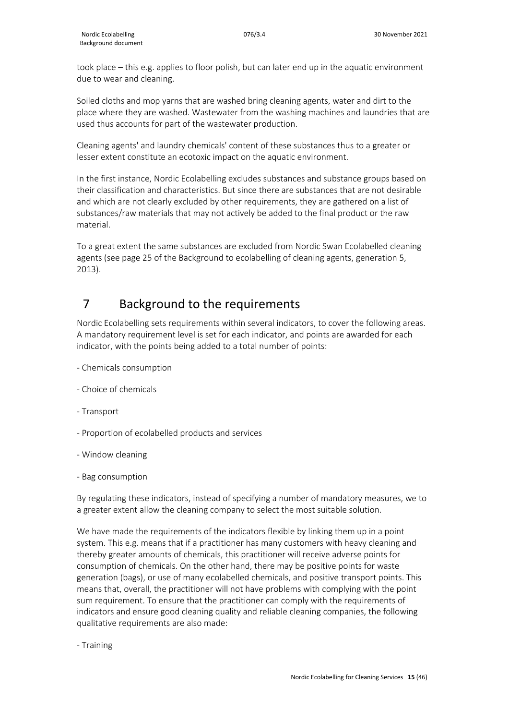took place – this e.g. applies to floor polish, but can later end up in the aquatic environment due to wear and cleaning.

Soiled cloths and mop yarns that are washed bring cleaning agents, water and dirt to the place where they are washed. Wastewater from the washing machines and laundries that are used thus accounts for part of the wastewater production.

Cleaning agents' and laundry chemicals' content of these substances thus to a greater or lesser extent constitute an ecotoxic impact on the aquatic environment.

In the first instance, Nordic Ecolabelling excludes substances and substance groups based on their classification and characteristics. But since there are substances that are not desirable and which are not clearly excluded by other requirements, they are gathered on a list of substances/raw materials that may not actively be added to the final product or the raw material.

To a great extent the same substances are excluded from Nordic Swan Ecolabelled cleaning agents (see page 25 of the Background to ecolabelling of cleaning agents, generation 5, 2013).

# <span id="page-14-0"></span>7 Background to the requirements

Nordic Ecolabelling sets requirements within several indicators, to cover the following areas. A mandatory requirement level is set for each indicator, and points are awarded for each indicator, with the points being added to a total number of points:

- Chemicals consumption
- Choice of chemicals
- Transport
- Proportion of ecolabelled products and services
- Window cleaning
- Bag consumption

By regulating these indicators, instead of specifying a number of mandatory measures, we to a greater extent allow the cleaning company to select the most suitable solution.

We have made the requirements of the indicators flexible by linking them up in a point system. This e.g. means that if a practitioner has many customers with heavy cleaning and thereby greater amounts of chemicals, this practitioner will receive adverse points for consumption of chemicals. On the other hand, there may be positive points for waste generation (bags), or use of many ecolabelled chemicals, and positive transport points. This means that, overall, the practitioner will not have problems with complying with the point sum requirement. To ensure that the practitioner can comply with the requirements of indicators and ensure good cleaning quality and reliable cleaning companies, the following qualitative requirements are also made:

- Training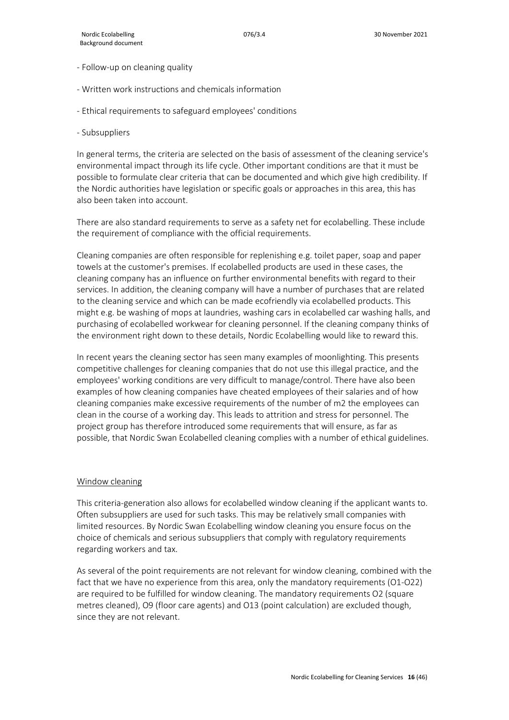- Follow-up on cleaning quality
- Written work instructions and chemicals information
- Ethical requirements to safeguard employees' conditions
- Subsuppliers

In general terms, the criteria are selected on the basis of assessment of the cleaning service's environmental impact through its life cycle. Other important conditions are that it must be possible to formulate clear criteria that can be documented and which give high credibility. If the Nordic authorities have legislation or specific goals or approaches in this area, this has also been taken into account.

There are also standard requirements to serve as a safety net for ecolabelling. These include the requirement of compliance with the official requirements.

Cleaning companies are often responsible for replenishing e.g. toilet paper, soap and paper towels at the customer's premises. If ecolabelled products are used in these cases, the cleaning company has an influence on further environmental benefits with regard to their services. In addition, the cleaning company will have a number of purchases that are related to the cleaning service and which can be made ecofriendly via ecolabelled products. This might e.g. be washing of mops at laundries, washing cars in ecolabelled car washing halls, and purchasing of ecolabelled workwear for cleaning personnel. If the cleaning company thinks of the environment right down to these details, Nordic Ecolabelling would like to reward this.

In recent years the cleaning sector has seen many examples of moonlighting. This presents competitive challenges for cleaning companies that do not use this illegal practice, and the employees' working conditions are very difficult to manage/control. There have also been examples of how cleaning companies have cheated employees of their salaries and of how cleaning companies make excessive requirements of the number of m2 the employees can clean in the course of a working day. This leads to attrition and stress for personnel. The project group has therefore introduced some requirements that will ensure, as far as possible, that Nordic Swan Ecolabelled cleaning complies with a number of ethical guidelines.

#### Window cleaning

This criteria-generation also allows for ecolabelled window cleaning if the applicant wants to. Often subsuppliers are used for such tasks. This may be relatively small companies with limited resources. By Nordic Swan Ecolabelling window cleaning you ensure focus on the choice of chemicals and serious subsuppliers that comply with regulatory requirements regarding workers and tax.

As several of the point requirements are not relevant for window cleaning, combined with the fact that we have no experience from this area, only the mandatory requirements (O1-O22) are required to be fulfilled for window cleaning. The mandatory requirements O2 (square metres cleaned), O9 (floor care agents) and O13 (point calculation) are excluded though, since they are not relevant.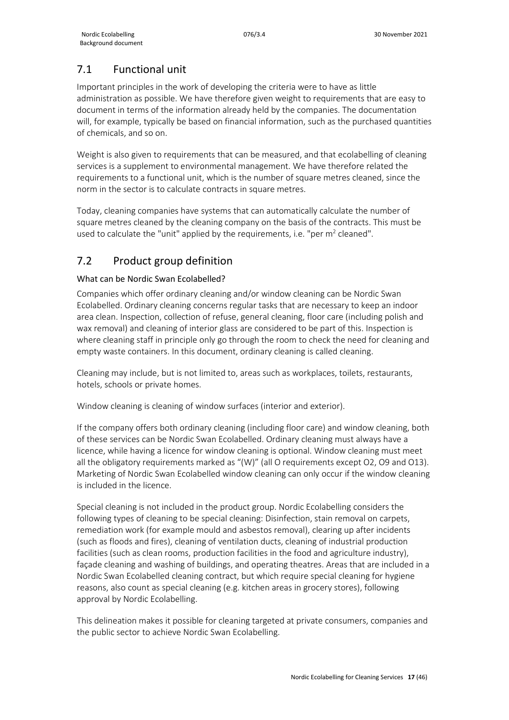## <span id="page-16-0"></span>7.1 Functional unit

Important principles in the work of developing the criteria were to have as little administration as possible. We have therefore given weight to requirements that are easy to document in terms of the information already held by the companies. The documentation will, for example, typically be based on financial information, such as the purchased quantities of chemicals, and so on.

Weight is also given to requirements that can be measured, and that ecolabelling of cleaning services is a supplement to environmental management. We have therefore related the requirements to a functional unit, which is the number of square metres cleaned, since the norm in the sector is to calculate contracts in square metres.

Today, cleaning companies have systems that can automatically calculate the number of square metres cleaned by the cleaning company on the basis of the contracts. This must be used to calculate the "unit" applied by the requirements, i.e. "per  $m<sup>2</sup>$  cleaned".

## <span id="page-16-1"></span>7.2 Product group definition

## What can be Nordic Swan Ecolabelled?

Companies which offer ordinary cleaning and/or window cleaning can be Nordic Swan Ecolabelled. Ordinary cleaning concerns regular tasks that are necessary to keep an indoor area clean. Inspection, collection of refuse, general cleaning, floor care (including polish and wax removal) and cleaning of interior glass are considered to be part of this. Inspection is where cleaning staff in principle only go through the room to check the need for cleaning and empty waste containers. In this document, ordinary cleaning is called cleaning.

Cleaning may include, but is not limited to, areas such as workplaces, toilets, restaurants, hotels, schools or private homes.

Window cleaning is cleaning of window surfaces (interior and exterior).

If the company offers both ordinary cleaning (including floor care) and window cleaning, both of these services can be Nordic Swan Ecolabelled. Ordinary cleaning must always have a licence, while having a licence for window cleaning is optional. Window cleaning must meet all the obligatory requirements marked as "(W)" (all O requirements except O2, O9 and O13). Marketing of Nordic Swan Ecolabelled window cleaning can only occur if the window cleaning is included in the licence.

Special cleaning is not included in the product group. Nordic Ecolabelling considers the following types of cleaning to be special cleaning: Disinfection, stain removal on carpets, remediation work (for example mould and asbestos removal), clearing up after incidents (such as floods and fires), cleaning of ventilation ducts, cleaning of industrial production facilities (such as clean rooms, production facilities in the food and agriculture industry), façade cleaning and washing of buildings, and operating theatres. Areas that are included in a Nordic Swan Ecolabelled cleaning contract, but which require special cleaning for hygiene reasons, also count as special cleaning (e.g. kitchen areas in grocery stores), following approval by Nordic Ecolabelling.

This delineation makes it possible for cleaning targeted at private consumers, companies and the public sector to achieve Nordic Swan Ecolabelling.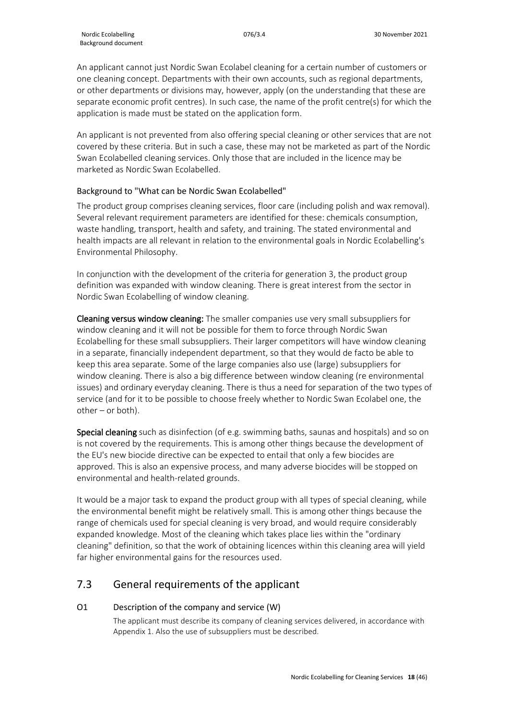An applicant cannot just Nordic Swan Ecolabel cleaning for a certain number of customers or one cleaning concept. Departments with their own accounts, such as regional departments, or other departments or divisions may, however, apply (on the understanding that these are separate economic profit centres). In such case, the name of the profit centre(s) for which the application is made must be stated on the application form.

An applicant is not prevented from also offering special cleaning or other services that are not covered by these criteria. But in such a case, these may not be marketed as part of the Nordic Swan Ecolabelled cleaning services. Only those that are included in the licence may be marketed as Nordic Swan Ecolabelled.

## Background to "What can be Nordic Swan Ecolabelled"

The product group comprises cleaning services, floor care (including polish and wax removal). Several relevant requirement parameters are identified for these: chemicals consumption, waste handling, transport, health and safety, and training. The stated environmental and health impacts are all relevant in relation to the environmental goals in Nordic Ecolabelling's Environmental Philosophy.

In conjunction with the development of the criteria for generation 3, the product group definition was expanded with window cleaning. There is great interest from the sector in Nordic Swan Ecolabelling of window cleaning.

Cleaning versus window cleaning: The smaller companies use very small subsuppliers for window cleaning and it will not be possible for them to force through Nordic Swan Ecolabelling for these small subsuppliers. Their larger competitors will have window cleaning in a separate, financially independent department, so that they would de facto be able to keep this area separate. Some of the large companies also use (large) subsuppliers for window cleaning. There is also a big difference between window cleaning (re environmental issues) and ordinary everyday cleaning. There is thus a need for separation of the two types of service (and for it to be possible to choose freely whether to Nordic Swan Ecolabel one, the other – or both).

Special cleaning such as disinfection (of e.g. swimming baths, saunas and hospitals) and so on is not covered by the requirements. This is among other things because the development of the EU's new biocide directive can be expected to entail that only a few biocides are approved. This is also an expensive process, and many adverse biocides will be stopped on environmental and health-related grounds.

It would be a major task to expand the product group with all types of special cleaning, while the environmental benefit might be relatively small. This is among other things because the range of chemicals used for special cleaning is very broad, and would require considerably expanded knowledge. Most of the cleaning which takes place lies within the "ordinary cleaning" definition, so that the work of obtaining licences within this cleaning area will yield far higher environmental gains for the resources used.

## <span id="page-17-0"></span>7.3 General requirements of the applicant

## O1 Description of the company and service (W)

The applicant must describe its company of cleaning services delivered, in accordance with Appendix 1. Also the use of subsuppliers must be described.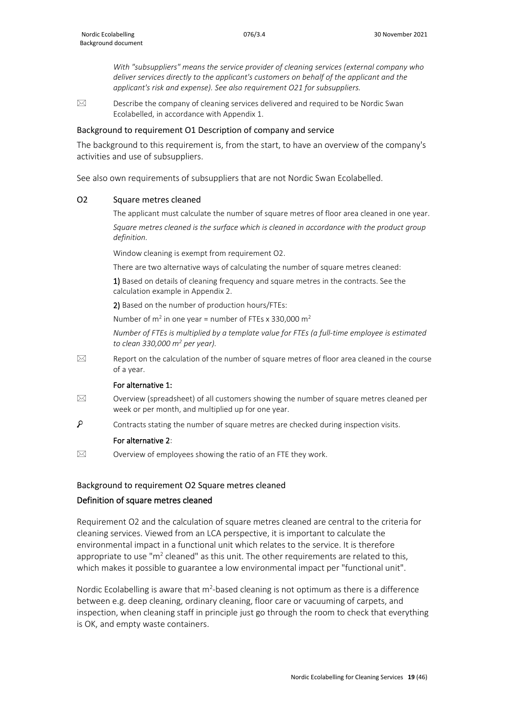*With "subsuppliers" means the service provider of cleaning services (external company who deliver services directly to the applicant's customers on behalf of the applicant and the applicant's risk and expense). See also requirement O21 for subsuppliers.*

 $\boxtimes$  Describe the company of cleaning services delivered and required to be Nordic Swan Ecolabelled, in accordance with Appendix 1.

#### Background to requirement O1 Description of company and service

The background to this requirement is, from the start, to have an overview of the company's activities and use of subsuppliers.

See also own requirements of subsuppliers that are not Nordic Swan Ecolabelled.

#### O2 Square metres cleaned

The applicant must calculate the number of square metres of floor area cleaned in one year.

*Square metres cleaned is the surface which is cleaned in accordance with the product group definition.* 

Window cleaning is exempt from requirement O2.

There are two alternative ways of calculating the number of square metres cleaned:

1) Based on details of cleaning frequency and square metres in the contracts. See the calculation example in Appendix 2.

2) Based on the number of production hours/FTEs:

Number of  $m^2$  in one year = number of FTEs x 330,000  $m^2$ 

*Number of FTEs is multiplied by a template value for FTEs (a full-time employee is estimated to clean 330,000 m2 per year).*

 $\boxtimes$  Report on the calculation of the number of square metres of floor area cleaned in the course of a year.

#### For alternative 1:

- $\boxtimes$  Overview (spreadsheet) of all customers showing the number of square metres cleaned per week or per month, and multiplied up for one year.
- ٩ Contracts stating the number of square metres are checked during inspection visits.

#### For alternative 2:

 $\boxtimes$  Overview of employees showing the ratio of an FTE they work.

#### Background to requirement O2 Square metres cleaned

#### Definition of square metres cleaned

Requirement O2 and the calculation of square metres cleaned are central to the criteria for cleaning services. Viewed from an LCA perspective, it is important to calculate the environmental impact in a functional unit which relates to the service. It is therefore appropriate to use " $m<sup>2</sup>$  cleaned" as this unit. The other requirements are related to this, which makes it possible to guarantee a low environmental impact per "functional unit".

Nordic Ecolabelling is aware that  $m^2$ -based cleaning is not optimum as there is a difference between e.g. deep cleaning, ordinary cleaning, floor care or vacuuming of carpets, and inspection, when cleaning staff in principle just go through the room to check that everything is OK, and empty waste containers.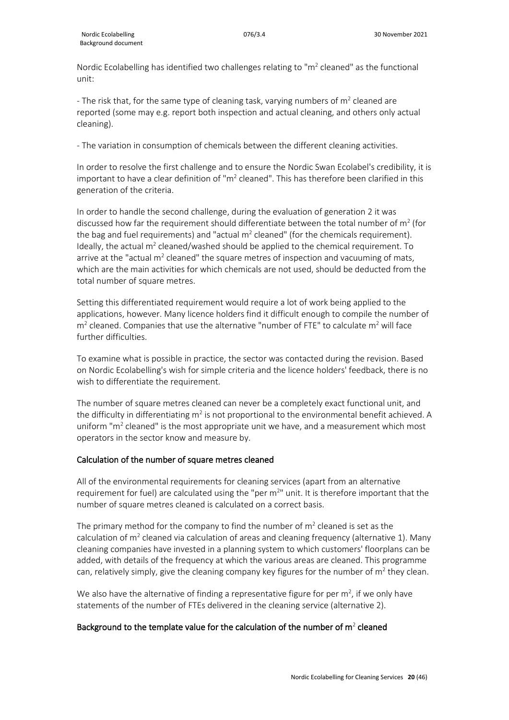Nordic Ecolabelling has identified two challenges relating to " $m<sup>2</sup>$  cleaned" as the functional unit:

- The risk that, for the same type of cleaning task, varying numbers of  $m<sup>2</sup>$  cleaned are reported (some may e.g. report both inspection and actual cleaning, and others only actual cleaning).

- The variation in consumption of chemicals between the different cleaning activities.

In order to resolve the first challenge and to ensure the Nordic Swan Ecolabel's credibility, it is important to have a clear definition of " $m<sup>2</sup>$  cleaned". This has therefore been clarified in this generation of the criteria.

In order to handle the second challenge, during the evaluation of generation 2 it was discussed how far the requirement should differentiate between the total number of  $m^2$  (for the bag and fuel requirements) and "actual  $m<sup>2</sup>$  cleaned" (for the chemicals requirement). Ideally, the actual  $m^2$  cleaned/washed should be applied to the chemical requirement. To arrive at the "actual  $m^2$  cleaned" the square metres of inspection and vacuuming of mats, which are the main activities for which chemicals are not used, should be deducted from the total number of square metres.

Setting this differentiated requirement would require a lot of work being applied to the applications, however. Many licence holders find it difficult enough to compile the number of  $m<sup>2</sup>$  cleaned. Companies that use the alternative "number of FTE" to calculate  $m<sup>2</sup>$  will face further difficulties.

To examine what is possible in practice, the sector was contacted during the revision. Based on Nordic Ecolabelling's wish for simple criteria and the licence holders' feedback, there is no wish to differentiate the requirement.

The number of square metres cleaned can never be a completely exact functional unit, and the difficulty in differentiating  $m^2$  is not proportional to the environmental benefit achieved. A uniform " $m<sup>2</sup>$  cleaned" is the most appropriate unit we have, and a measurement which most operators in the sector know and measure by.

#### Calculation of the number of square metres cleaned

All of the environmental requirements for cleaning services (apart from an alternative requirement for fuel) are calculated using the "per  $m^{2}$ " unit. It is therefore important that the number of square metres cleaned is calculated on a correct basis.

The primary method for the company to find the number of  $m<sup>2</sup>$  cleaned is set as the calculation of  $m<sup>2</sup>$  cleaned via calculation of areas and cleaning frequency (alternative 1). Many cleaning companies have invested in a planning system to which customers' floorplans can be added, with details of the frequency at which the various areas are cleaned. This programme can, relatively simply, give the cleaning company key figures for the number of  $m<sup>2</sup>$  they clean.

We also have the alternative of finding a representative figure for per  $m^2$ , if we only have statements of the number of FTEs delivered in the cleaning service (alternative 2).

#### Background to the template value for the calculation of the number of  $m^2$  cleaned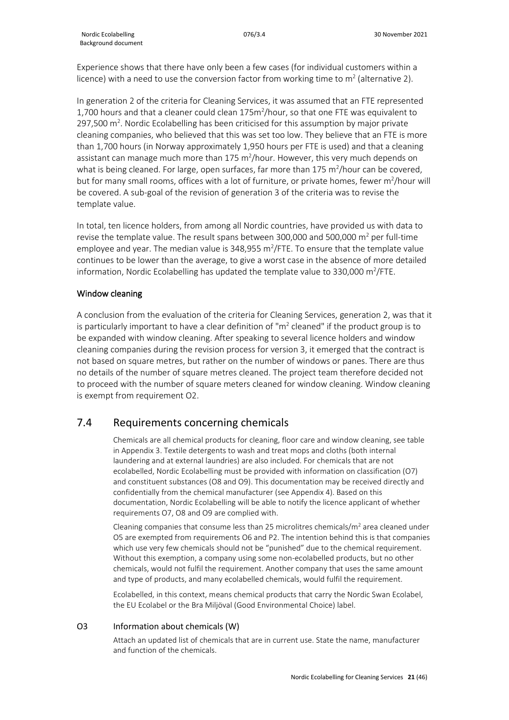Experience shows that there have only been a few cases (for individual customers within a licence) with a need to use the conversion factor from working time to  $m^2$  (alternative 2).

In generation 2 of the criteria for Cleaning Services, it was assumed that an FTE represented 1,700 hours and that a cleaner could clean 175m<sup>2</sup>/hour, so that one FTE was equivalent to  $297,500$  m<sup>2</sup>. Nordic Ecolabelling has been criticised for this assumption by major private cleaning companies, who believed that this was set too low. They believe that an FTE is more than 1,700 hours (in Norway approximately 1,950 hours per FTE is used) and that a cleaning assistant can manage much more than  $175 \text{ m}^2$ /hour. However, this very much depends on what is being cleaned. For large, open surfaces, far more than 175 m<sup>2</sup>/hour can be covered, but for many small rooms, offices with a lot of furniture, or private homes, fewer m<sup>2</sup>/hour will be covered. A sub-goal of the revision of generation 3 of the criteria was to revise the template value.

In total, ten licence holders, from among all Nordic countries, have provided us with data to revise the template value. The result spans between 300,000 and 500,000  $\text{m}^2$  per full-time employee and year. The median value is 348,955  $m^2$ /FTE. To ensure that the template value continues to be lower than the average, to give a worst case in the absence of more detailed information, Nordic Ecolabelling has updated the template value to 330,000 m<sup>2</sup>/FTE.

## Window cleaning

A conclusion from the evaluation of the criteria for Cleaning Services, generation 2, was that it is particularly important to have a clear definition of " $m<sup>2</sup>$  cleaned" if the product group is to be expanded with window cleaning. After speaking to several licence holders and window cleaning companies during the revision process for version 3, it emerged that the contract is not based on square metres, but rather on the number of windows or panes. There are thus no details of the number of square metres cleaned. The project team therefore decided not to proceed with the number of square meters cleaned for window cleaning. Window cleaning is exempt from requirement O2.

## <span id="page-20-0"></span>7.4 Requirements concerning chemicals

Chemicals are all chemical products for cleaning, floor care and window cleaning, see table in Appendix 3. Textile detergents to wash and treat mops and cloths (both internal laundering and at external laundries) are also included. For chemicals that are not ecolabelled, Nordic Ecolabelling must be provided with information on classification (O7) and constituent substances (O8 and O9). This documentation may be received directly and confidentially from the chemical manufacturer (see Appendix 4). Based on this documentation, Nordic Ecolabelling will be able to notify the licence applicant of whether requirements O7, O8 and O9 are complied with.

Cleaning companies that consume less than 25 microlitres chemicals/ $m<sup>2</sup>$  area cleaned under O5 are exempted from requirements O6 and P2. The intention behind this is that companies which use very few chemicals should not be "punished" due to the chemical requirement. Without this exemption, a company using some non-ecolabelled products, but no other chemicals, would not fulfil the requirement. Another company that uses the same amount and type of products, and many ecolabelled chemicals, would fulfil the requirement.

Ecolabelled, in this context, means chemical products that carry the Nordic Swan Ecolabel, the EU Ecolabel or the Bra Miljöval (Good Environmental Choice) label.

## O3 Information about chemicals (W)

Attach an updated list of chemicals that are in current use. State the name, manufacturer and function of the chemicals.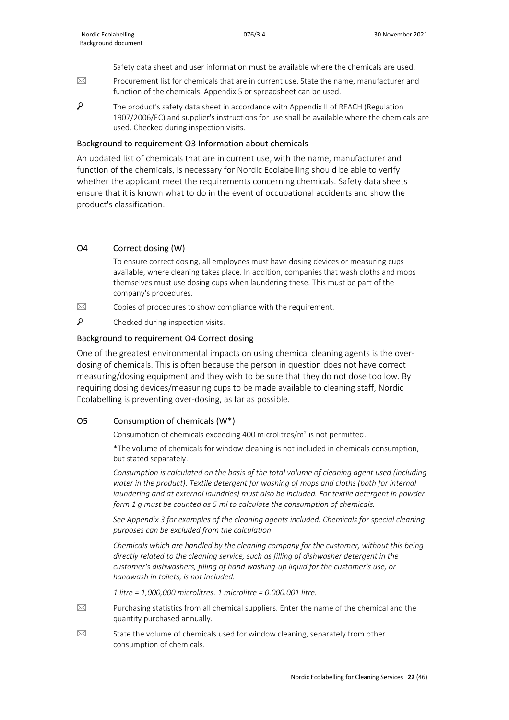Safety data sheet and user information must be available where the chemicals are used.

- $\boxtimes$  Procurement list for chemicals that are in current use. State the name, manufacturer and function of the chemicals. Appendix 5 or spreadsheet can be used.
- Q The product's safety data sheet in accordance with Appendix II of REACH (Regulation 1907/2006/EC) and supplier's instructions for use shall be available where the chemicals are used. Checked during inspection visits.

#### Background to requirement O3 Information about chemicals

An updated list of chemicals that are in current use, with the name, manufacturer and function of the chemicals, is necessary for Nordic Ecolabelling should be able to verify whether the applicant meet the requirements concerning chemicals. Safety data sheets ensure that it is known what to do in the event of occupational accidents and show the product's classification.

#### O4 Correct dosing (W)

To ensure correct dosing, all employees must have dosing devices or measuring cups available, where cleaning takes place. In addition, companies that wash cloths and mops themselves must use dosing cups when laundering these. This must be part of the company's procedures.

 $\boxtimes$  Copies of procedures to show compliance with the requirement.

م Checked during inspection visits.

#### Background to requirement O4 Correct dosing

One of the greatest environmental impacts on using chemical cleaning agents is the overdosing of chemicals. This is often because the person in question does not have correct measuring/dosing equipment and they wish to be sure that they do not dose too low. By requiring dosing devices/measuring cups to be made available to cleaning staff, Nordic Ecolabelling is preventing over-dosing, as far as possible.

#### O5 Consumption of chemicals (W\*)

Consumption of chemicals exceeding 400 microlitres/ $m^2$  is not permitted.

\*The volume of chemicals for window cleaning is not included in chemicals consumption, but stated separately.

*Consumption is calculated on the basis of the total volume of cleaning agent used (including water in the product). Textile detergent for washing of mops and cloths (both for internal laundering and at external laundries) must also be included. For textile detergent in powder form 1 g must be counted as 5 ml to calculate the consumption of chemicals.*

*See Appendix 3 for examples of the cleaning agents included. Chemicals for special cleaning purposes can be excluded from the calculation.*

*Chemicals which are handled by the cleaning company for the customer, without this being directly related to the cleaning service, such as filling of dishwasher detergent in the customer's dishwashers, filling of hand washing-up liquid for the customer's use, or handwash in toilets, is not included.* 

*1 litre = 1,000,000 microlitres. 1 microlitre = 0.000.001 litre.*

- $\boxtimes$  Purchasing statistics from all chemical suppliers. Enter the name of the chemical and the quantity purchased annually.
- State the volume of chemicals used for window cleaning, separately from other consumption of chemicals.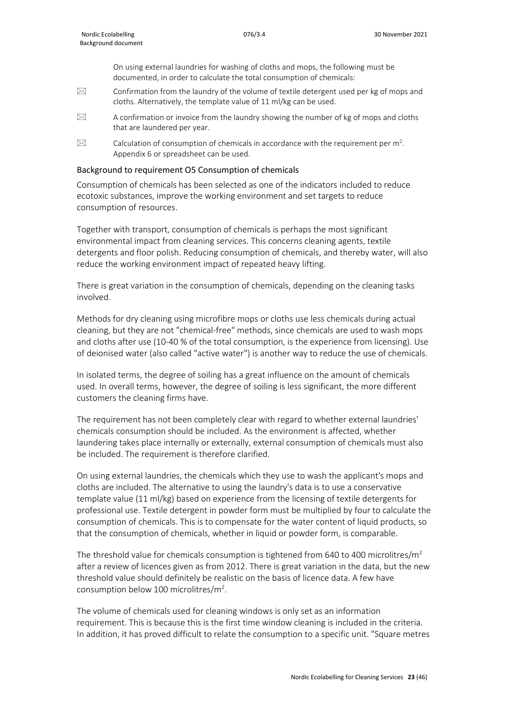On using external laundries for washing of cloths and mops, the following must be documented, in order to calculate the total consumption of chemicals:

- $\boxtimes$  Confirmation from the laundry of the volume of textile detergent used per kg of mops and cloths. Alternatively, the template value of 11 ml/kg can be used.
- $\boxtimes$  A confirmation or invoice from the laundry showing the number of kg of mops and cloths that are laundered per year.
- $\boxtimes$  Calculation of consumption of chemicals in accordance with the requirement per m<sup>2</sup>. Appendix 6 or spreadsheet can be used.

#### Background to requirement O5 Consumption of chemicals

Consumption of chemicals has been selected as one of the indicators included to reduce ecotoxic substances, improve the working environment and set targets to reduce consumption of resources.

Together with transport, consumption of chemicals is perhaps the most significant environmental impact from cleaning services. This concerns cleaning agents, textile detergents and floor polish. Reducing consumption of chemicals, and thereby water, will also reduce the working environment impact of repeated heavy lifting.

There is great variation in the consumption of chemicals, depending on the cleaning tasks involved.

Methods for dry cleaning using microfibre mops or cloths use less chemicals during actual cleaning, but they are not "chemical-free" methods, since chemicals are used to wash mops and cloths after use (10-40 % of the total consumption, is the experience from licensing). Use of deionised water (also called "active water") is another way to reduce the use of chemicals.

In isolated terms, the degree of soiling has a great influence on the amount of chemicals used. In overall terms, however, the degree of soiling is less significant, the more different customers the cleaning firms have.

The requirement has not been completely clear with regard to whether external laundries' chemicals consumption should be included. As the environment is affected, whether laundering takes place internally or externally, external consumption of chemicals must also be included. The requirement is therefore clarified.

On using external laundries, the chemicals which they use to wash the applicant's mops and cloths are included. The alternative to using the laundry's data is to use a conservative template value (11 ml/kg) based on experience from the licensing of textile detergents for professional use. Textile detergent in powder form must be multiplied by four to calculate the consumption of chemicals. This is to compensate for the water content of liquid products, so that the consumption of chemicals, whether in liquid or powder form, is comparable.

The threshold value for chemicals consumption is tightened from 640 to 400 microlitres/ $m^2$ after a review of licences given as from 2012. There is great variation in the data, but the new threshold value should definitely be realistic on the basis of licence data. A few have consumption below 100 microlitres/m<sup>2</sup>.

The volume of chemicals used for cleaning windows is only set as an information requirement. This is because this is the first time window cleaning is included in the criteria. In addition, it has proved difficult to relate the consumption to a specific unit. "Square metres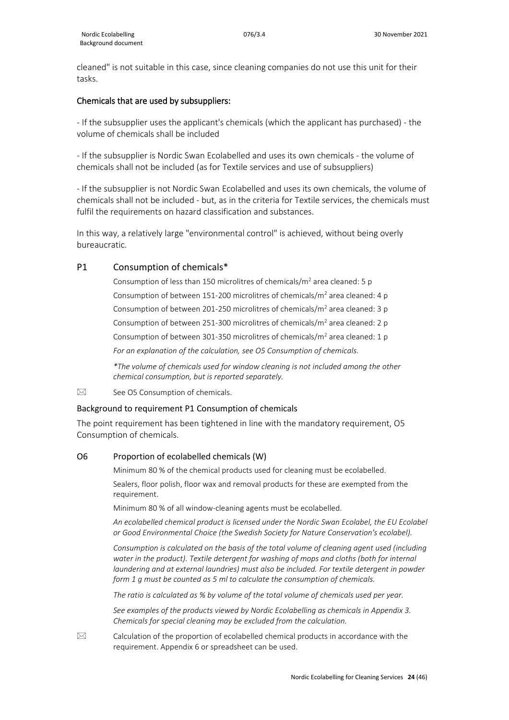cleaned" is not suitable in this case, since cleaning companies do not use this unit for their tasks.

#### Chemicals that are used by subsuppliers:

- If the subsupplier uses the applicant's chemicals (which the applicant has purchased) - the volume of chemicals shall be included

- If the subsupplier is Nordic Swan Ecolabelled and uses its own chemicals - the volume of chemicals shall not be included (as for Textile services and use of subsuppliers)

- If the subsupplier is not Nordic Swan Ecolabelled and uses its own chemicals, the volume of chemicals shall not be included - but, as in the criteria for Textile services, the chemicals must fulfil the requirements on hazard classification and substances.

In this way, a relatively large "environmental control" is achieved, without being overly bureaucratic.

#### P1 Consumption of chemicals\*

Consumption of less than 150 microlitres of chemicals/ $m<sup>2</sup>$  area cleaned: 5 p Consumption of between 151-200 microlitres of chemicals/ $m<sup>2</sup>$  area cleaned: 4 p Consumption of between 201-250 microlitres of chemicals/ $m<sup>2</sup>$  area cleaned: 3 p Consumption of between 251-300 microlitres of chemicals/ $m<sup>2</sup>$  area cleaned: 2 p Consumption of between 301-350 microlitres of chemicals/ $m^2$  area cleaned: 1 p *For an explanation of the calculation, see O5 Consumption of chemicals.*

*\*The volume of chemicals used for window cleaning is not included among the other chemical consumption, but is reported separately.* 

 $\boxtimes$  See O5 Consumption of chemicals.

#### Background to requirement P1 Consumption of chemicals

The point requirement has been tightened in line with the mandatory requirement, O5 Consumption of chemicals.

#### O6 Proportion of ecolabelled chemicals (W)

Minimum 80 % of the chemical products used for cleaning must be ecolabelled. Sealers, floor polish, floor wax and removal products for these are exempted from the requirement.

Minimum 80 % of all window-cleaning agents must be ecolabelled.

*An ecolabelled chemical product is licensed under the Nordic Swan Ecolabel, the EU Ecolabel or Good Environmental Choice (the Swedish Society for Nature Conservation's ecolabel).*

*Consumption is calculated on the basis of the total volume of cleaning agent used (including water in the product). Textile detergent for washing of mops and cloths (both for internal laundering and at external laundries) must also be included. For textile detergent in powder form 1 g must be counted as 5 ml to calculate the consumption of chemicals.*

*The ratio is calculated as % by volume of the total volume of chemicals used per year.*

*See examples of the products viewed by Nordic Ecolabelling as chemicals in Appendix 3. Chemicals for special cleaning may be excluded from the calculation.*

 $\boxtimes$  Calculation of the proportion of ecolabelled chemical products in accordance with the requirement. Appendix 6 or spreadsheet can be used.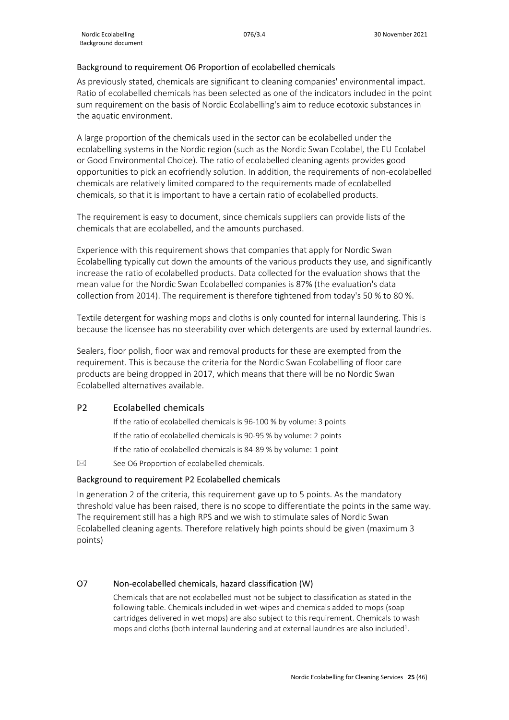#### Background to requirement O6 Proportion of ecolabelled chemicals

As previously stated, chemicals are significant to cleaning companies' environmental impact. Ratio of ecolabelled chemicals has been selected as one of the indicators included in the point sum requirement on the basis of Nordic Ecolabelling's aim to reduce ecotoxic substances in the aquatic environment.

A large proportion of the chemicals used in the sector can be ecolabelled under the ecolabelling systems in the Nordic region (such as the Nordic Swan Ecolabel, the EU Ecolabel or Good Environmental Choice). The ratio of ecolabelled cleaning agents provides good opportunities to pick an ecofriendly solution. In addition, the requirements of non-ecolabelled chemicals are relatively limited compared to the requirements made of ecolabelled chemicals, so that it is important to have a certain ratio of ecolabelled products.

The requirement is easy to document, since chemicals suppliers can provide lists of the chemicals that are ecolabelled, and the amounts purchased.

Experience with this requirement shows that companies that apply for Nordic Swan Ecolabelling typically cut down the amounts of the various products they use, and significantly increase the ratio of ecolabelled products. Data collected for the evaluation shows that the mean value for the Nordic Swan Ecolabelled companies is 87% (the evaluation's data collection from 2014). The requirement is therefore tightened from today's 50 % to 80 %.

Textile detergent for washing mops and cloths is only counted for internal laundering. This is because the licensee has no steerability over which detergents are used by external laundries.

Sealers, floor polish, floor wax and removal products for these are exempted from the requirement. This is because the criteria for the Nordic Swan Ecolabelling of floor care products are being dropped in 2017, which means that there will be no Nordic Swan Ecolabelled alternatives available.

## P2 Ecolabelled chemicals

If the ratio of ecolabelled chemicals is 96-100 % by volume: 3 points If the ratio of ecolabelled chemicals is 90-95 % by volume: 2 points If the ratio of ecolabelled chemicals is 84-89 % by volume: 1 point

 $\boxtimes$  See O6 Proportion of ecolabelled chemicals.

#### Background to requirement P2 Ecolabelled chemicals

In generation 2 of the criteria, this requirement gave up to 5 points. As the mandatory threshold value has been raised, there is no scope to differentiate the points in the same way. The requirement still has a high RPS and we wish to stimulate sales of Nordic Swan Ecolabelled cleaning agents. Therefore relatively high points should be given (maximum 3 points)

## O7 Non-ecolabelled chemicals, hazard classification (W)

Chemicals that are not ecolabelled must not be subject to classification as stated in the following table. Chemicals included in wet-wipes and chemicals added to mops (soap cartridges delivered in wet mops) are also subject to this requirement. Chemicals to wash mops and cloths (both internal laundering and at external laundries are also included<sup>1</sup>.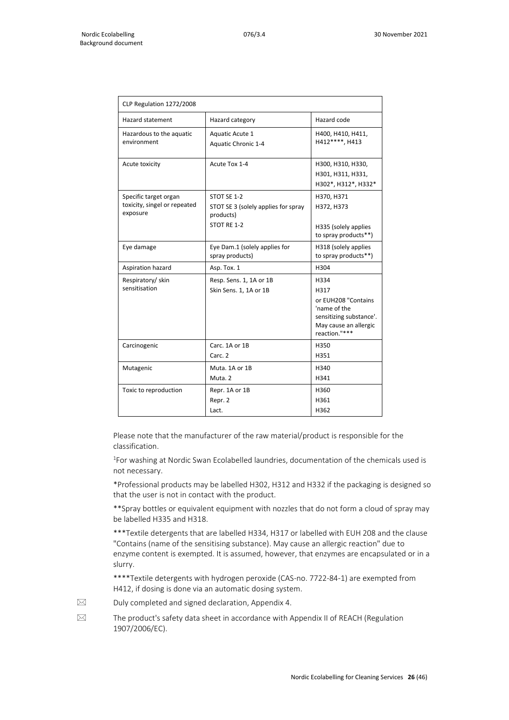| CLP Regulation 1272/2008                                          |                                                                                |                                                                                                                          |  |
|-------------------------------------------------------------------|--------------------------------------------------------------------------------|--------------------------------------------------------------------------------------------------------------------------|--|
| Hazard statement                                                  | Hazard category                                                                | Hazard code                                                                                                              |  |
| Hazardous to the aquatic<br>environment                           | Aquatic Acute 1<br>Aquatic Chronic 1-4                                         | H400, H410, H411,<br>H412****. H413                                                                                      |  |
| Acute toxicity                                                    | Acute Tox 1-4                                                                  | H300, H310, H330,<br>H301, H311, H331,<br>H302*, H312*, H332*                                                            |  |
| Specific target organ<br>toxicity, singel or repeated<br>exposure | STOT SE 1-2<br>STOT SE 3 (solely applies for spray<br>products)<br>STOT RE 1-2 | H370, H371<br>H372, H373<br>H335 (solely applies<br>to spray products**)                                                 |  |
| Eye damage                                                        | Eye Dam.1 (solely applies for<br>spray products)                               | H318 (solely applies<br>to spray products**)                                                                             |  |
| Aspiration hazard                                                 | Asp. Tox. 1                                                                    | H304                                                                                                                     |  |
| Respiratory/skin<br>sensitisation                                 | Resp. Sens. 1, 1A or 1B<br>Skin Sens. 1, 1A or 1B                              | H334<br>H317<br>or EUH208 "Contains<br>'name of the<br>sensitizing substance'.<br>May cause an allergic<br>reaction."*** |  |
| Carcinogenic                                                      | Carc. 1A or 1B<br>Carc. 2                                                      | H350<br>H351                                                                                                             |  |
| Mutagenic                                                         | Muta, 1A or 1B<br>Muta. 2                                                      | H340<br>H341                                                                                                             |  |
| Toxic to reproduction                                             | Repr. 1A or 1B<br>Repr. 2<br>Lact.                                             | H360<br>H361<br>H362                                                                                                     |  |

Please note that the manufacturer of the raw material/product is responsible for the classification.

<sup>1</sup>For washing at Nordic Swan Ecolabelled laundries, documentation of the chemicals used is not necessary.

\*Professional products may be labelled H302, H312 and H332 if the packaging is designed so that the user is not in contact with the product.

\*\*Spray bottles or equivalent equipment with nozzles that do not form a cloud of spray may be labelled H335 and H318.

\*\*\*Textile detergents that are labelled H334, H317 or labelled with EUH 208 and the clause "Contains (name of the sensitising substance). May cause an allergic reaction" due to enzyme content is exempted. It is assumed, however, that enzymes are encapsulated or in a slurry.

\*\*\*\*Textile detergents with hydrogen peroxide (CAS-no. 7722-84-1) are exempted from H412, if dosing is done via an automatic dosing system.

 $\boxtimes$  Duly completed and signed declaration, Appendix 4.

 $\boxtimes$  The product's safety data sheet in accordance with Appendix II of REACH (Regulation 1907/2006/EC).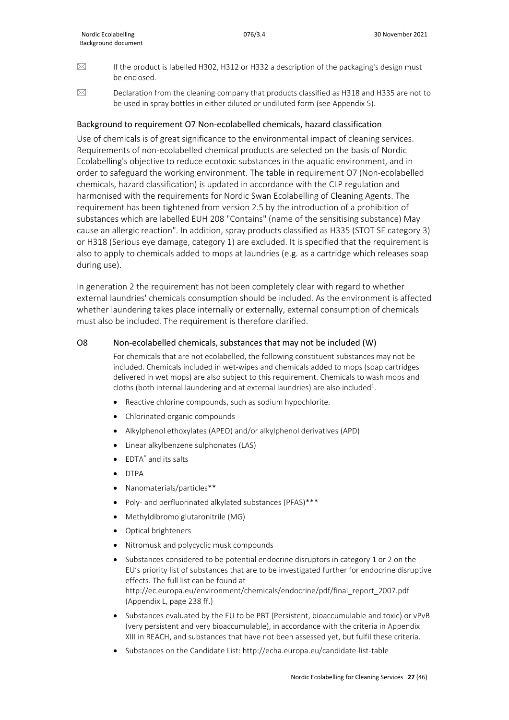- $\boxtimes$  If the product is labelled H302, H312 or H332 a description of the packaging's design must be enclosed.
- $\boxtimes$  Declaration from the cleaning company that products classified as H318 and H335 are not to be used in spray bottles in either diluted or undiluted form (see Appendix 5).

#### Background to requirement O7 Non-ecolabelled chemicals, hazard classification

Use of chemicals is of great significance to the environmental impact of cleaning services. Requirements of non-ecolabelled chemical products are selected on the basis of Nordic Ecolabelling's objective to reduce ecotoxic substances in the aquatic environment, and in order to safeguard the working environment. The table in requirement O7 (Non-ecolabelled chemicals, hazard classification) is updated in accordance with the CLP regulation and harmonised with the requirements for Nordic Swan Ecolabelling of Cleaning Agents. The requirement has been tightened from version 2.5 by the introduction of a prohibition of substances which are labelled EUH 208 "Contains" (name of the sensitising substance) May cause an allergic reaction". In addition, spray products classified as H335 (STOT SE category 3) or H318 (Serious eye damage, category 1) are excluded. It is specified that the requirement is also to apply to chemicals added to mops at laundries (e.g. as a cartridge which releases soap during use).

In generation 2 the requirement has not been completely clear with regard to whether external laundries' chemicals consumption should be included. As the environment is affected whether laundering takes place internally or externally, external consumption of chemicals must also be included. The requirement is therefore clarified.

#### O8 Non-ecolabelled chemicals, substances that may not be included (W)

For chemicals that are not ecolabelled, the following constituent substances may not be included. Chemicals included in wet-wipes and chemicals added to mops (soap cartridges delivered in wet mops) are also subject to this requirement. Chemicals to wash mops and cloths (both internal laundering and at external laundries) are also included<sup>1</sup>.

- Reactive chlorine compounds, such as sodium hypochlorite.
- Chlorinated organic compounds
- Alkylphenol ethoxylates (APEO) and/or alkylphenol derivatives (APD)
- Linear alkylbenzene sulphonates (LAS)
- EDTA\* and its salts
- DTPA
- Nanomaterials/particles\*\*
- Poly- and perfluorinated alkylated substances (PFAS)\*\*\*
- Methyldibromo glutaronitrile (MG)
- Optical brighteners
- Nitromusk and polycyclic musk compounds
- Substances considered to be potential endocrine disruptors in category 1 or 2 on the EU's priority list of substances that are to be investigated further for endocrine disruptive effects. The full list can be found at [http://ec.europa.eu/environment/chemicals/endocrine/pdf/final\\_report\\_2007.pdf](http://ec.europa.eu/environment/chemicals/endocrine/pdf/final_report_2007.pdf) (Appendix L, page 238 ff.)
- Substances evaluated by the EU to be PBT (Persistent, bioaccumulable and toxic) or vPvB (very persistent and very bioaccumulable), in accordance with the criteria in Appendix XIII in REACH, and substances that have not been assessed yet, but fulfil these criteria.
- Substances on the Candidate List: http://echa.europa.eu/candidate-list-table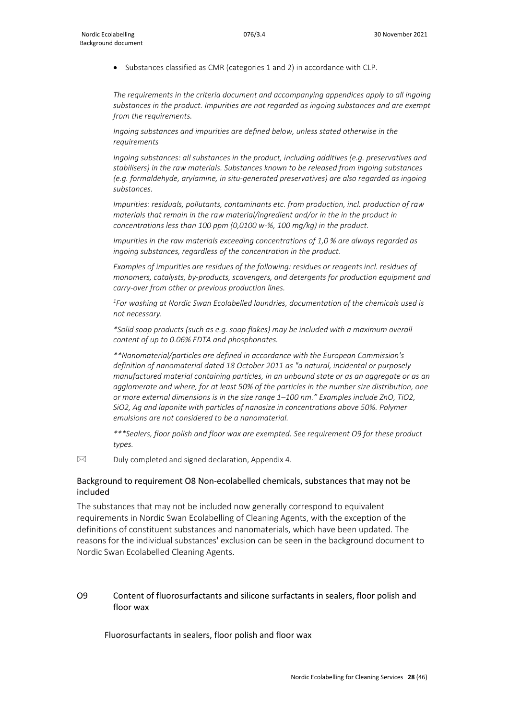• Substances classified as CMR (categories 1 and 2) in accordance with CLP.

*The requirements in the criteria document and accompanying appendices apply to all ingoing substances in the product. Impurities are not regarded as ingoing substances and are exempt from the requirements.*

*Ingoing substances and impurities are defined below, unless stated otherwise in the requirements*

*Ingoing substances: all substances in the product, including additives (e.g. preservatives and stabilisers) in the raw materials. Substances known to be released from ingoing substances (e.g. formaldehyde, arylamine, in situ-generated preservatives) are also regarded as ingoing substances.*

*Impurities: residuals, pollutants, contaminants etc. from production, incl. production of raw materials that remain in the raw material/ingredient and/or in the in the product in concentrations less than 100 ppm (0,0100 w-%, 100 mg/kg) in the product.* 

*Impurities in the raw materials exceeding concentrations of 1,0 % are always regarded as ingoing substances, regardless of the concentration in the product.*

*Examples of impurities are residues of the following: residues or reagents incl. residues of monomers, catalysts, by-products, scavengers, and detergents for production equipment and carry-over from other or previous production lines.*

*1 For washing at Nordic Swan Ecolabelled laundries, documentation of the chemicals used is not necessary.*

*\*Solid soap products (such as e.g. soap flakes) may be included with a maximum overall content of up to 0.06% EDTA and phosphonates.* 

*\*\*Nanomaterial/particles are defined in accordance with the European Commission's definition of nanomaterial dated 18 October 2011 as "a natural, incidental or purposely manufactured material containing particles, in an unbound state or as an aggregate or as an agglomerate and where, for at least 50% of the particles in the number size distribution, one or more external dimensions is in the size range 1–100 nm." Examples include ZnO, TiO2, SiO2, Ag and laponite with particles of nanosize in concentrations above 50%. Polymer emulsions are not considered to be a nanomaterial.*

*\*\*\*Sealers, floor polish and floor wax are exempted. See requirement O9 for these product types.*

 $\boxtimes$  Duly completed and signed declaration, Appendix 4.

#### Background to requirement O8 Non-ecolabelled chemicals, substances that may not be included

The substances that may not be included now generally correspond to equivalent requirements in Nordic Swan Ecolabelling of Cleaning Agents, with the exception of the definitions of constituent substances and nanomaterials, which have been updated. The reasons for the individual substances' exclusion can be seen in the background document to Nordic Swan Ecolabelled Cleaning Agents.

#### O9 Content of fluorosurfactants and silicone surfactants in sealers, floor polish and floor wax

Fluorosurfactants in sealers, floor polish and floor wax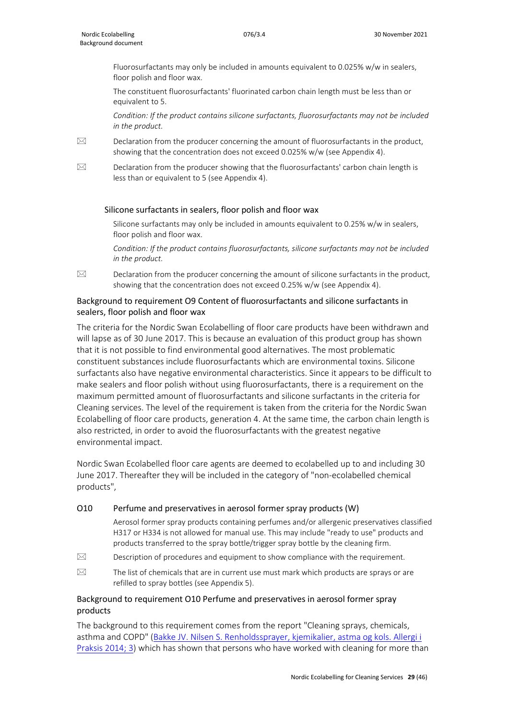Fluorosurfactants may only be included in amounts equivalent to 0.025% w/w in sealers, floor polish and floor wax.

The constituent fluorosurfactants' fluorinated carbon chain length must be less than or equivalent to 5.

*Condition: If the product contains silicone surfactants, fluorosurfactants may not be included in the product.*

- $\boxtimes$  Declaration from the producer concerning the amount of fluorosurfactants in the product, showing that the concentration does not exceed 0.025% w/w (see Appendix 4).
- $\boxtimes$  Declaration from the producer showing that the fluorosurfactants' carbon chain length is less than or equivalent to 5 (see Appendix 4).

#### Silicone surfactants in sealers, floor polish and floor wax

Silicone surfactants may only be included in amounts equivalent to 0.25% w/w in sealers, floor polish and floor wax.

*Condition: If the product contains fluorosurfactants, silicone surfactants may not be included in the product.*

 $\boxtimes$  Declaration from the producer concerning the amount of silicone surfactants in the product, showing that the concentration does not exceed 0.25% w/w (see Appendix 4).

### Background to requirement O9 Content of fluorosurfactants and silicone surfactants in sealers, floor polish and floor wax

The criteria for the Nordic Swan Ecolabelling of floor care products have been withdrawn and will lapse as of 30 June 2017. This is because an evaluation of this product group has shown that it is not possible to find environmental good alternatives. The most problematic constituent substances include fluorosurfactants which are environmental toxins. Silicone surfactants also have negative environmental characteristics. Since it appears to be difficult to make sealers and floor polish without using fluorosurfactants, there is a requirement on the maximum permitted amount of fluorosurfactants and silicone surfactants in the criteria for Cleaning services. The level of the requirement is taken from the criteria for the Nordic Swan Ecolabelling of floor care products, generation 4. At the same time, the carbon chain length is also restricted, in order to avoid the fluorosurfactants with the greatest negative environmental impact.

Nordic Swan Ecolabelled floor care agents are deemed to ecolabelled up to and including 30 June 2017. Thereafter they will be included in the category of "non-ecolabelled chemical products",

#### O10 Perfume and preservatives in aerosol former spray products (W)

Aerosol former spray products containing perfumes and/or allergenic preservatives classified H317 or H334 is not allowed for manual use. This may include "ready to use" products and products transferred to the spray bottle/trigger spray bottle by the cleaning firm.

- $\boxtimes$  Description of procedures and equipment to show compliance with the requirement.
- $\boxtimes$  The list of chemicals that are in current use must mark which products are sprays or are refilled to spray bottles (see Appendix 5).

### Background to requirement O10 Perfume and preservatives in aerosol former spray products

The background to this requirement comes from the report "Cleaning sprays, chemicals, asthma and COPD" [\(Bakke JV. Nilsen S. Renholdssprayer, kjemikalier, astma og kols. Allergi i](http://www.naaf.no/Documents/1.%20Allergi%20i%20Praksis/3%20-%2014/AA%203%2014%20Renholdssprayer,%20kjemikalier,%20astma%20og%20kols.pdf)  [Praksis 2014; 3\)](http://www.naaf.no/Documents/1.%20Allergi%20i%20Praksis/3%20-%2014/AA%203%2014%20Renholdssprayer,%20kjemikalier,%20astma%20og%20kols.pdf) which has shown that persons who have worked with cleaning for more than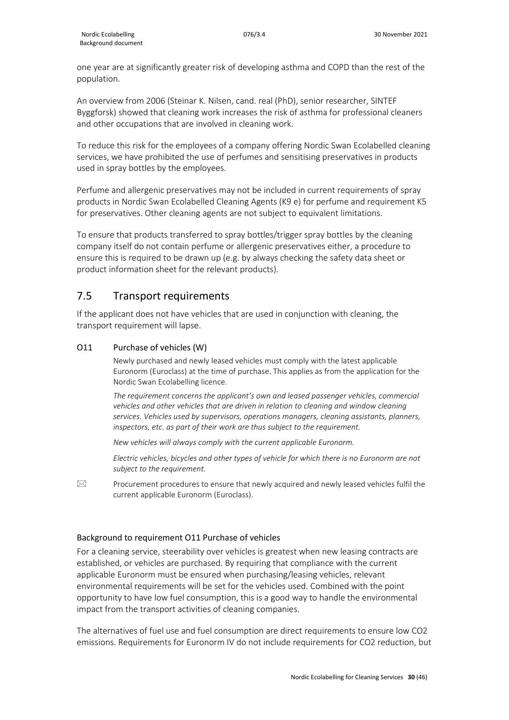one year are at significantly greater risk of developing asthma and COPD than the rest of the population.

An overview from 2006 (Steinar K. Nilsen, cand. real (PhD), senior researcher, SINTEF Byggforsk) showed that cleaning work increases the risk of asthma for professional cleaners and other occupations that are involved in cleaning work.

To reduce this risk for the employees of a company offering Nordic Swan Ecolabelled cleaning services, we have prohibited the use of perfumes and sensitising preservatives in products used in spray bottles by the employees.

Perfume and allergenic preservatives may not be included in current requirements of spray products in Nordic Swan Ecolabelled Cleaning Agents (K9 e) for perfume and requirement K5 for preservatives. Other cleaning agents are not subject to equivalent limitations.

To ensure that products transferred to spray bottles/trigger spray bottles by the cleaning company itself do not contain perfume or allergenic preservatives either, a procedure to ensure this is required to be drawn up (e.g. by always checking the safety data sheet or product information sheet for the relevant products).

## <span id="page-29-0"></span>7.5 Transport requirements

If the applicant does not have vehicles that are used in conjunction with cleaning, the transport requirement will lapse.

### O11 Purchase of vehicles (W)

Newly purchased and newly leased vehicles must comply with the latest applicable Euronorm (Euroclass) at the time of purchase. This applies as from the application for the Nordic Swan Ecolabelling licence.

*The requirement concerns the applicant's own and leased passenger vehicles, commercial vehicles and other vehicles that are driven in relation to cleaning and window cleaning services. Vehicles used by supervisors, operations managers, cleaning assistants, planners, inspectors, etc. as part of their work are thus subject to the requirement.* 

*New vehicles will always comply with the current applicable Euronorm.*

*Electric vehicles, bicycles and other types of vehicle for which there is no Euronorm are not subject to the requirement.* 

 $\boxtimes$  Procurement procedures to ensure that newly acquired and newly leased vehicles fulfil the current applicable Euronorm (Euroclass).

## Background to requirement O11 Purchase of vehicles

For a cleaning service, steerability over vehicles is greatest when new leasing contracts are established, or vehicles are purchased. By requiring that compliance with the current applicable Euronorm must be ensured when purchasing/leasing vehicles, relevant environmental requirements will be set for the vehicles used. Combined with the point opportunity to have low fuel consumption, this is a good way to handle the environmental impact from the transport activities of cleaning companies.

The alternatives of fuel use and fuel consumption are direct requirements to ensure low CO2 emissions. Requirements for Euronorm IV do not include requirements for CO2 reduction, but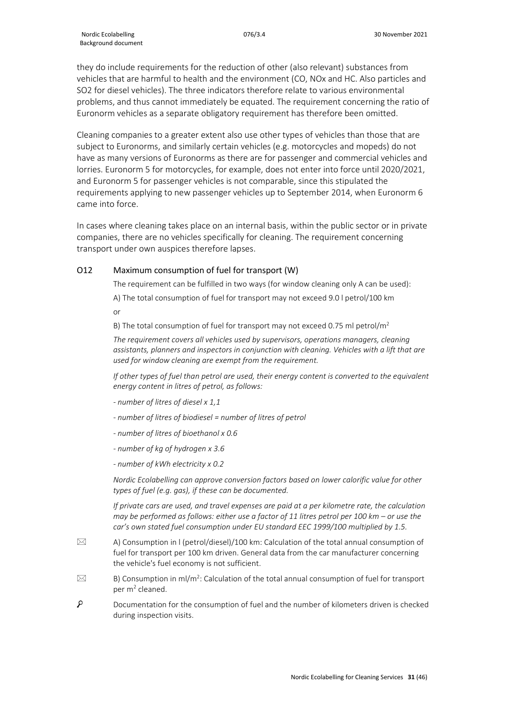they do include requirements for the reduction of other (also relevant) substances from vehicles that are harmful to health and the environment (CO, NOx and HC. Also particles and SO2 for diesel vehicles). The three indicators therefore relate to various environmental problems, and thus cannot immediately be equated. The requirement concerning the ratio of Euronorm vehicles as a separate obligatory requirement has therefore been omitted.

Cleaning companies to a greater extent also use other types of vehicles than those that are subject to Euronorms, and similarly certain vehicles (e.g. motorcycles and mopeds) do not have as many versions of Euronorms as there are for passenger and commercial vehicles and lorries. Euronorm 5 for motorcycles, for example, does not enter into force until 2020/2021, and Euronorm 5 for passenger vehicles is not comparable, since this stipulated the requirements applying to new passenger vehicles up to September 2014, when Euronorm 6 came into force.

In cases where cleaning takes place on an internal basis, within the public sector or in private companies, there are no vehicles specifically for cleaning. The requirement concerning transport under own auspices therefore lapses.

### O12 Maximum consumption of fuel for transport (W)

The requirement can be fulfilled in two ways (for window cleaning only A can be used):

A) The total consumption of fuel for transport may not exceed 9.0 l petrol/100 km or

B) The total consumption of fuel for transport may not exceed 0.75 ml petrol/ $m^2$ 

*The requirement covers all vehicles used by supervisors, operations managers, cleaning assistants, planners and inspectors in conjunction with cleaning. Vehicles with a lift that are used for window cleaning are exempt from the requirement.*

*If other types of fuel than petrol are used, their energy content is converted to the equivalent energy content in litres of petrol, as follows:*

- *- number of litres of diesel x 1,1*
- *- number of litres of biodiesel = number of litres of petrol*
- *- number of litres of bioethanol x 0.6*
- *- number of kg of hydrogen x 3.6*
- *- number of kWh electricity x 0.2*

*Nordic Ecolabelling can approve conversion factors based on lower calorific value for other types of fuel (e.g. gas), if these can be documented.* 

*If private cars are used, and travel expenses are paid at a per kilometre rate, the calculation may be performed as follows: either use a factor of 11 litres petrol per 100 km – or use the car's own stated fuel consumption under EU standard EEC 1999/100 multiplied by 1.5.*

- $\boxtimes$  A) Consumption in I (petrol/diesel)/100 km: Calculation of the total annual consumption of fuel for transport per 100 km driven. General data from the car manufacturer concerning the vehicle's fuel economy is not sufficient.
- $\boxtimes$  B) Consumption in ml/m<sup>2</sup>: Calculation of the total annual consumption of fuel for transport per m2 cleaned.
- $\varphi$ Documentation for the consumption of fuel and the number of kilometers driven is checked during inspection visits.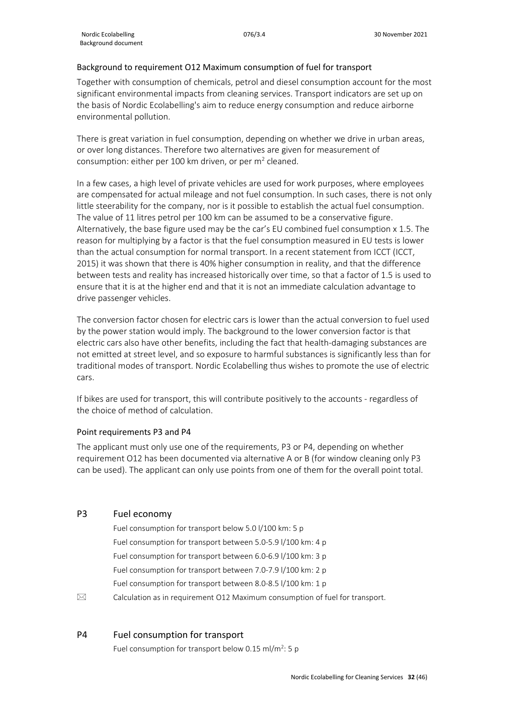#### Background to requirement O12 Maximum consumption of fuel for transport

Together with consumption of chemicals, petrol and diesel consumption account for the most significant environmental impacts from cleaning services. Transport indicators are set up on the basis of Nordic Ecolabelling's aim to reduce energy consumption and reduce airborne environmental pollution.

There is great variation in fuel consumption, depending on whether we drive in urban areas, or over long distances. Therefore two alternatives are given for measurement of consumption: either per 100 km driven, or per  $m<sup>2</sup>$  cleaned.

In a few cases, a high level of private vehicles are used for work purposes, where employees are compensated for actual mileage and not fuel consumption. In such cases, there is not only little steerability for the company, nor is it possible to establish the actual fuel consumption. The value of 11 litres petrol per 100 km can be assumed to be a conservative figure. Alternatively, the base figure used may be the car's EU combined fuel consumption  $x$  1.5. The reason for multiplying by a factor is that the fuel consumption measured in EU tests is lower than the actual consumption for normal transport. In a recent statement from ICCT (ICCT, 2015) it was shown that there is 40% higher consumption in reality, and that the difference between tests and reality has increased historically over time, so that a factor of 1.5 is used to ensure that it is at the higher end and that it is not an immediate calculation advantage to drive passenger vehicles.

The conversion factor chosen for electric cars is lower than the actual conversion to fuel used by the power station would imply. The background to the lower conversion factor is that electric cars also have other benefits, including the fact that health-damaging substances are not emitted at street level, and so exposure to harmful substances is significantly less than for traditional modes of transport. Nordic Ecolabelling thus wishes to promote the use of electric cars.

If bikes are used for transport, this will contribute positively to the accounts - regardless of the choice of method of calculation.

#### Point requirements P3 and P4

The applicant must only use one of the requirements, P3 or P4, depending on whether requirement O12 has been documented via alternative A or B (for window cleaning only P3 can be used). The applicant can only use points from one of them for the overall point total.

## P3 Fuel economy

- Fuel consumption for transport below 5.0 l/100 km: 5 p Fuel consumption for transport between 5.0-5.9 l/100 km: 4 p Fuel consumption for transport between 6.0-6.9 l/100 km: 3 p Fuel consumption for transport between 7.0-7.9 l/100 km: 2 p Fuel consumption for transport between 8.0-8.5 l/100 km: 1 p
- $\boxtimes$  Calculation as in requirement O12 Maximum consumption of fuel for transport.

### P4 Fuel consumption for transport

Fuel consumption for transport below 0.15 ml/m<sup>2</sup>: 5 p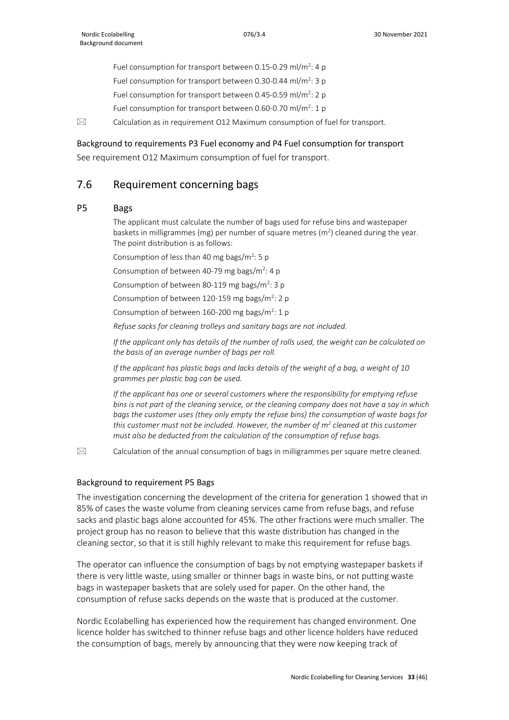Fuel consumption for transport between 0.15-0.29 ml/m<sup>2</sup>: 4 p Fuel consumption for transport between 0.30-0.44 ml/m<sup>2</sup>: 3 p Fuel consumption for transport between 0.45-0.59 ml/m<sup>2</sup>: 2 p Fuel consumption for transport between 0.60-0.70 ml/m<sup>2</sup>: 1 p

 $\boxtimes$  Calculation as in requirement O12 Maximum consumption of fuel for transport.

#### Background to requirements P3 Fuel economy and P4 Fuel consumption for transport

See requirement O12 Maximum consumption of fuel for transport.

## <span id="page-32-0"></span>7.6 Requirement concerning bags

#### P5 Bags

The applicant must calculate the number of bags used for refuse bins and wastepaper baskets in milligrammes (mg) per number of square metres ( $m<sup>2</sup>$ ) cleaned during the year. The point distribution is as follows:

Consumption of less than 40 mg bags/ $m^2$ : 5 p

Consumption of between 40-79 mg bags/ $m^2$ : 4 p

Consumption of between 80-119 mg bags/ $m^2$ : 3 p

Consumption of between 120-159 mg bags/m<sup>2</sup>: 2 p

Consumption of between  $160-200$  mg bags/m<sup>2</sup>: 1 p

*Refuse sacks for cleaning trolleys and sanitary bags are not included.*

*If the applicant only has details of the number of rolls used, the weight can be calculated on the basis of an average number of bags per roll.*

*If the applicant has plastic bags and lacks details of the weight of a bag, a weight of 10 grammes per plastic bag can be used.*

*If the applicant has one or several customers where the responsibility for emptying refuse bins is not part of the cleaning service, or the cleaning company does not have a say in which bags the customer uses (they only empty the refuse bins) the consumption of waste bags for this customer must not be included. However, the number of m2 cleaned at this customer must also be deducted from the calculation of the consumption of refuse bags.*

 $\boxtimes$  Calculation of the annual consumption of bags in milligrammes per square metre cleaned.

#### Background to requirement P5 Bags

The investigation concerning the development of the criteria for generation 1 showed that in 85% of cases the waste volume from cleaning services came from refuse bags, and refuse sacks and plastic bags alone accounted for 45%. The other fractions were much smaller. The project group has no reason to believe that this waste distribution has changed in the cleaning sector, so that it is still highly relevant to make this requirement for refuse bags.

The operator can influence the consumption of bags by not emptying wastepaper baskets if there is very little waste, using smaller or thinner bags in waste bins, or not putting waste bags in wastepaper baskets that are solely used for paper. On the other hand, the consumption of refuse sacks depends on the waste that is produced at the customer.

Nordic Ecolabelling has experienced how the requirement has changed environment. One licence holder has switched to thinner refuse bags and other licence holders have reduced the consumption of bags, merely by announcing that they were now keeping track of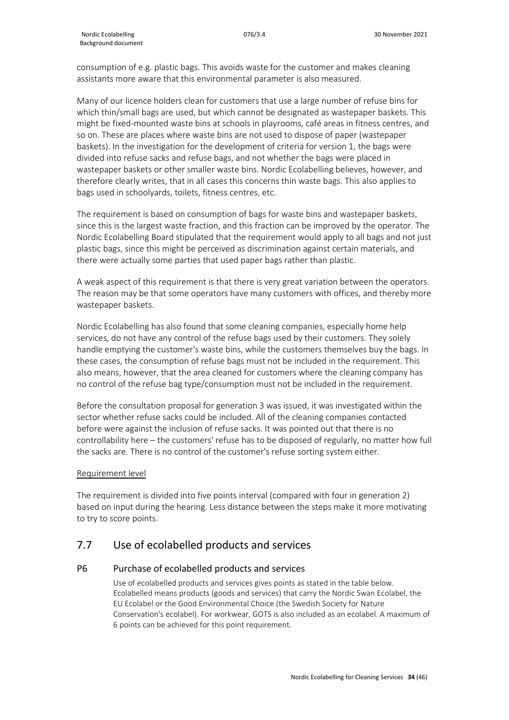consumption of e.g. plastic bags. This avoids waste for the customer and makes cleaning assistants more aware that this environmental parameter is also measured.

Many of our licence holders clean for customers that use a large number of refuse bins for which thin/small bags are used, but which cannot be designated as wastepaper baskets. This might be fixed-mounted waste bins at schools in playrooms, café areas in fitness centres, and so on. These are places where waste bins are not used to dispose of paper (wastepaper baskets). In the investigation for the development of criteria for version 1, the bags were divided into refuse sacks and refuse bags, and not whether the bags were placed in wastepaper baskets or other smaller waste bins. Nordic Ecolabelling believes, however, and therefore clearly writes, that in all cases this concerns thin waste bags. This also applies to bags used in schoolyards, toilets, fitness centres, etc.

The requirement is based on consumption of bags for waste bins and wastepaper baskets, since this is the largest waste fraction, and this fraction can be improved by the operator. The Nordic Ecolabelling Board stipulated that the requirement would apply to all bags and not just plastic bags, since this might be perceived as discrimination against certain materials, and there were actually some parties that used paper bags rather than plastic.

A weak aspect of this requirement is that there is very great variation between the operators. The reason may be that some operators have many customers with offices, and thereby more wastepaper baskets.

Nordic Ecolabelling has also found that some cleaning companies, especially home help services, do not have any control of the refuse bags used by their customers. They solely handle emptying the customer's waste bins, while the customers themselves buy the bags. In these cases, the consumption of refuse bags must not be included in the requirement. This also means, however, that the area cleaned for customers where the cleaning company has no control of the refuse bag type/consumption must not be included in the requirement.

Before the consultation proposal for generation 3 was issued, it was investigated within the sector whether refuse sacks could be included. All of the cleaning companies contacted before were against the inclusion of refuse sacks. It was pointed out that there is no controllability here – the customers' refuse has to be disposed of regularly, no matter how full the sacks are. There is no control of the customer's refuse sorting system either.

#### Requirement level

The requirement is divided into five points interval (compared with four in generation 2) based on input during the hearing. Less distance between the steps make it more motivating to try to score points.

## <span id="page-33-0"></span>7.7 Use of ecolabelled products and services

#### P6 Purchase of ecolabelled products and services

Use of ecolabelled products and services gives points as stated in the table below. Ecolabelled means products (goods and services) that carry the Nordic Swan Ecolabel, the EU Ecolabel or the Good Environmental Choice (the Swedish Society for Nature Conservation's ecolabel). For workwear, GOTS is also included as an ecolabel. A maximum of 6 points can be achieved for this point requirement.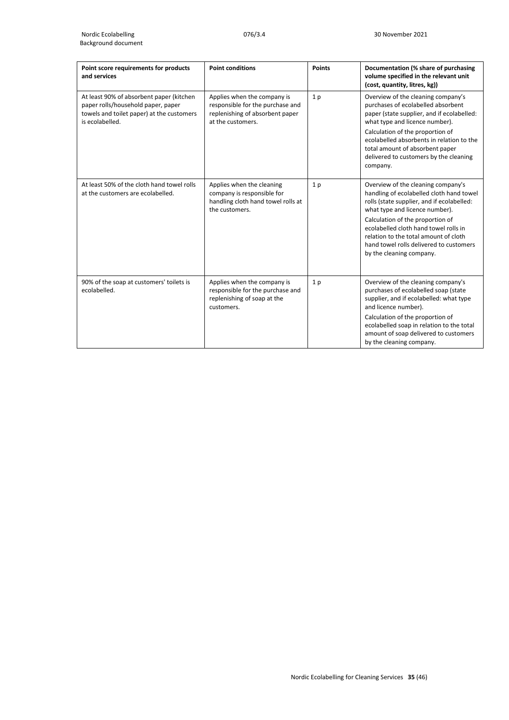| Point score requirements for products<br>and services                                                                                          | <b>Point conditions</b>                                                                                                 | <b>Points</b>  | Documentation (% share of purchasing<br>volume specified in the relevant unit<br>(cost, quantity, litres, kg))                                                                                                                                                                                                                                              |
|------------------------------------------------------------------------------------------------------------------------------------------------|-------------------------------------------------------------------------------------------------------------------------|----------------|-------------------------------------------------------------------------------------------------------------------------------------------------------------------------------------------------------------------------------------------------------------------------------------------------------------------------------------------------------------|
| At least 90% of absorbent paper (kitchen<br>paper rolls/household paper, paper<br>towels and toilet paper) at the customers<br>is ecolabelled. | Applies when the company is<br>responsible for the purchase and<br>replenishing of absorbent paper<br>at the customers. | 1 <sub>p</sub> | Overview of the cleaning company's<br>purchases of ecolabelled absorbent<br>paper (state supplier, and if ecolabelled:<br>what type and licence number).<br>Calculation of the proportion of<br>ecolabelled absorbents in relation to the<br>total amount of absorbent paper<br>delivered to customers by the cleaning<br>company.                          |
| At least 50% of the cloth hand towel rolls<br>at the customers are ecolabelled.                                                                | Applies when the cleaning<br>company is responsible for<br>handling cloth hand towel rolls at<br>the customers.         | 1 <sub>p</sub> | Overview of the cleaning company's<br>handling of ecolabelled cloth hand towel<br>rolls (state supplier, and if ecolabelled:<br>what type and licence number).<br>Calculation of the proportion of<br>ecolabelled cloth hand towel rolls in<br>relation to the total amount of cloth<br>hand towel rolls delivered to customers<br>by the cleaning company. |
| 90% of the soap at customers' toilets is<br>ecolabelled.                                                                                       | Applies when the company is<br>responsible for the purchase and<br>replenishing of soap at the<br>customers.            | 1 <sub>p</sub> | Overview of the cleaning company's<br>purchases of ecolabelled soap (state<br>supplier, and if ecolabelled: what type<br>and licence number).<br>Calculation of the proportion of<br>ecolabelled soap in relation to the total<br>amount of soap delivered to customers<br>by the cleaning company.                                                         |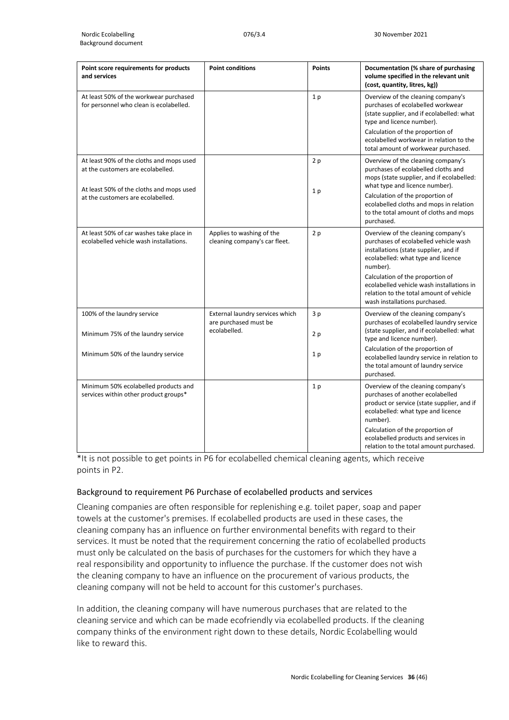| Point score requirements for products<br>and services                                                                                                          | <b>Point conditions</b>                                                  | <b>Points</b>        | Documentation (% share of purchasing<br>volume specified in the relevant unit<br>(cost, quantity, litres, kg))                                                                                                                                                                                                                      |
|----------------------------------------------------------------------------------------------------------------------------------------------------------------|--------------------------------------------------------------------------|----------------------|-------------------------------------------------------------------------------------------------------------------------------------------------------------------------------------------------------------------------------------------------------------------------------------------------------------------------------------|
| At least 50% of the workwear purchased<br>for personnel who clean is ecolabelled.                                                                              |                                                                          | 1 <sub>p</sub>       | Overview of the cleaning company's<br>purchases of ecolabelled workwear<br>(state supplier, and if ecolabelled: what<br>type and licence number).<br>Calculation of the proportion of<br>ecolabelled workwear in relation to the<br>total amount of workwear purchased.                                                             |
| At least 90% of the cloths and mops used<br>at the customers are ecolabelled.<br>At least 50% of the cloths and mops used<br>at the customers are ecolabelled. |                                                                          | 2p<br>1 <sub>p</sub> | Overview of the cleaning company's<br>purchases of ecolabelled cloths and<br>mops (state supplier, and if ecolabelled:<br>what type and licence number).<br>Calculation of the proportion of<br>ecolabelled cloths and mops in relation<br>to the total amount of cloths and mops<br>purchased.                                     |
| At least 50% of car washes take place in<br>ecolabelled vehicle wash installations.                                                                            | Applies to washing of the<br>cleaning company's car fleet.               | 2p                   | Overview of the cleaning company's<br>purchases of ecolabelled vehicle wash<br>installations (state supplier, and if<br>ecolabelled: what type and licence<br>number).<br>Calculation of the proportion of<br>ecolabelled vehicle wash installations in<br>relation to the total amount of vehicle<br>wash installations purchased. |
| 100% of the laundry service<br>Minimum 75% of the laundry service                                                                                              | External laundry services which<br>are purchased must be<br>ecolabelled. | 3 p<br>2p            | Overview of the cleaning company's<br>purchases of ecolabelled laundry service<br>(state supplier, and if ecolabelled: what<br>type and licence number).                                                                                                                                                                            |
| Minimum 50% of the laundry service                                                                                                                             |                                                                          | 1 <sub>p</sub>       | Calculation of the proportion of<br>ecolabelled laundry service in relation to<br>the total amount of laundry service<br>purchased.                                                                                                                                                                                                 |
| Minimum 50% ecolabelled products and<br>services within other product groups*                                                                                  |                                                                          | 1 <sub>p</sub>       | Overview of the cleaning company's<br>purchases of another ecolabelled<br>product or service (state supplier, and if<br>ecolabelled: what type and licence<br>number).<br>Calculation of the proportion of<br>ecolabelled products and services in<br>relation to the total amount purchased.                                       |

\*It is not possible to get points in P6 for ecolabelled chemical cleaning agents, which receive points in P2.

#### Background to requirement P6 Purchase of ecolabelled products and services

Cleaning companies are often responsible for replenishing e.g. toilet paper, soap and paper towels at the customer's premises. If ecolabelled products are used in these cases, the cleaning company has an influence on further environmental benefits with regard to their services. It must be noted that the requirement concerning the ratio of ecolabelled products must only be calculated on the basis of purchases for the customers for which they have a real responsibility and opportunity to influence the purchase. If the customer does not wish the cleaning company to have an influence on the procurement of various products, the cleaning company will not be held to account for this customer's purchases.

In addition, the cleaning company will have numerous purchases that are related to the cleaning service and which can be made ecofriendly via ecolabelled products. If the cleaning company thinks of the environment right down to these details, Nordic Ecolabelling would like to reward this.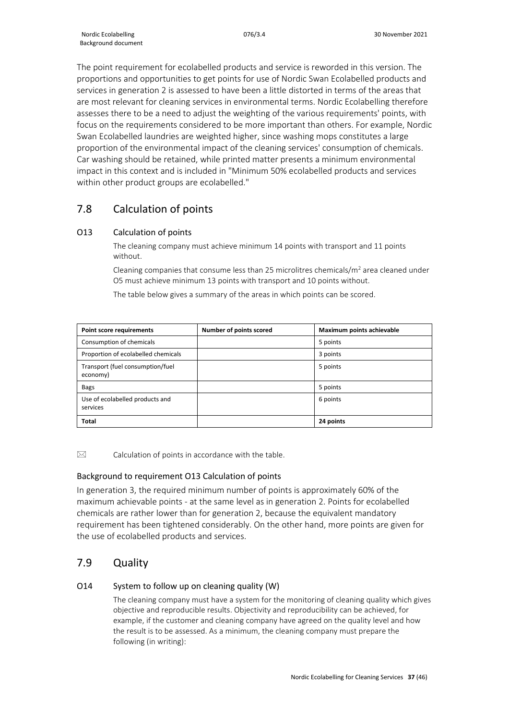The point requirement for ecolabelled products and service is reworded in this version. The proportions and opportunities to get points for use of Nordic Swan Ecolabelled products and services in generation 2 is assessed to have been a little distorted in terms of the areas that are most relevant for cleaning services in environmental terms. Nordic Ecolabelling therefore assesses there to be a need to adjust the weighting of the various requirements' points, with focus on the requirements considered to be more important than others. For example, Nordic Swan Ecolabelled laundries are weighted higher, since washing mops constitutes a large proportion of the environmental impact of the cleaning services' consumption of chemicals. Car washing should be retained, while printed matter presents a minimum environmental impact in this context and is included in "Minimum 50% ecolabelled products and services within other product groups are ecolabelled."

## <span id="page-36-0"></span>7.8 Calculation of points

## O13 Calculation of points

The cleaning company must achieve minimum 14 points with transport and 11 points without.

Cleaning companies that consume less than 25 microlitres chemicals/ $m<sup>2</sup>$  area cleaned under O5 must achieve minimum 13 points with transport and 10 points without.

The table below gives a summary of the areas in which points can be scored.

| <b>Point score requirements</b>              | Number of points scored | Maximum points achievable |
|----------------------------------------------|-------------------------|---------------------------|
| Consumption of chemicals                     |                         | 5 points                  |
| Proportion of ecolabelled chemicals          |                         | 3 points                  |
| Transport (fuel consumption/fuel<br>economy) |                         | 5 points                  |
| <b>Bags</b>                                  |                         | 5 points                  |
| Use of ecolabelled products and<br>services  |                         | 6 points                  |
| <b>Total</b>                                 |                         | 24 points                 |

 $\boxtimes$  Calculation of points in accordance with the table.

## Background to requirement O13 Calculation of points

In generation 3, the required minimum number of points is approximately 60% of the maximum achievable points - at the same level as in generation 2. Points for ecolabelled chemicals are rather lower than for generation 2, because the equivalent mandatory requirement has been tightened considerably. On the other hand, more points are given for the use of ecolabelled products and services.

## <span id="page-36-1"></span>7.9 Quality

## O14 System to follow up on cleaning quality (W)

The cleaning company must have a system for the monitoring of cleaning quality which gives objective and reproducible results. Objectivity and reproducibility can be achieved, for example, if the customer and cleaning company have agreed on the quality level and how the result is to be assessed. As a minimum, the cleaning company must prepare the following (in writing):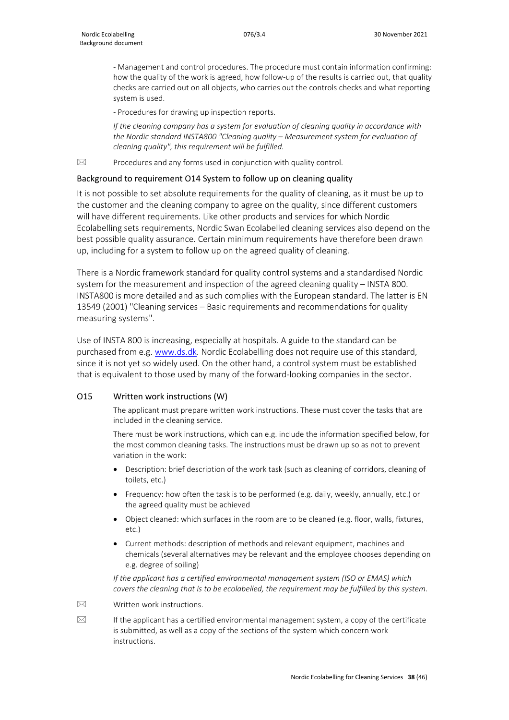- Management and control procedures. The procedure must contain information confirming: how the quality of the work is agreed, how follow-up of the results is carried out, that quality checks are carried out on all objects, who carries out the controls checks and what reporting system is used.

- Procedures for drawing up inspection reports.

*If the cleaning company has a system for evaluation of cleaning quality in accordance with the Nordic standard INSTA800 "Cleaning quality – Measurement system for evaluation of cleaning quality", this requirement will be fulfilled.*

 $\boxtimes$  Procedures and any forms used in conjunction with quality control.

#### Background to requirement O14 System to follow up on cleaning quality

It is not possible to set absolute requirements for the quality of cleaning, as it must be up to the customer and the cleaning company to agree on the quality, since different customers will have different requirements. Like other products and services for which Nordic Ecolabelling sets requirements, Nordic Swan Ecolabelled cleaning services also depend on the best possible quality assurance. Certain minimum requirements have therefore been drawn up, including for a system to follow up on the agreed quality of cleaning.

There is a Nordic framework standard for quality control systems and a standardised Nordic system for the measurement and inspection of the agreed cleaning quality – INSTA 800. INSTA800 is more detailed and as such complies with the European standard. The latter is EN 13549 (2001) "Cleaning services – Basic requirements and recommendations for quality measuring systems".

Use of INSTA 800 is increasing, especially at hospitals. A guide to the standard can be purchased from e.g. [www.ds.dk.](http://www.ds.dk/) Nordic Ecolabelling does not require use of this standard, since it is not yet so widely used. On the other hand, a control system must be established that is equivalent to those used by many of the forward-looking companies in the sector.

#### O15 Written work instructions (W)

The applicant must prepare written work instructions. These must cover the tasks that are included in the cleaning service.

There must be work instructions, which can e.g. include the information specified below, for the most common cleaning tasks. The instructions must be drawn up so as not to prevent variation in the work:

- Description: brief description of the work task (such as cleaning of corridors, cleaning of toilets, etc.)
- Frequency: how often the task is to be performed (e.g. daily, weekly, annually, etc.) or the agreed quality must be achieved
- Object cleaned: which surfaces in the room are to be cleaned (e.g. floor, walls, fixtures, etc.)
- Current methods: description of methods and relevant equipment, machines and chemicals (several alternatives may be relevant and the employee chooses depending on e.g. degree of soiling)

*If the applicant has a certified environmental management system (ISO or EMAS) which covers the cleaning that is to be ecolabelled, the requirement may be fulfilled by this system.*

 $\boxtimes$  Written work instructions.

 $\boxtimes$  If the applicant has a certified environmental management system, a copy of the certificate is submitted, as well as a copy of the sections of the system which concern work instructions.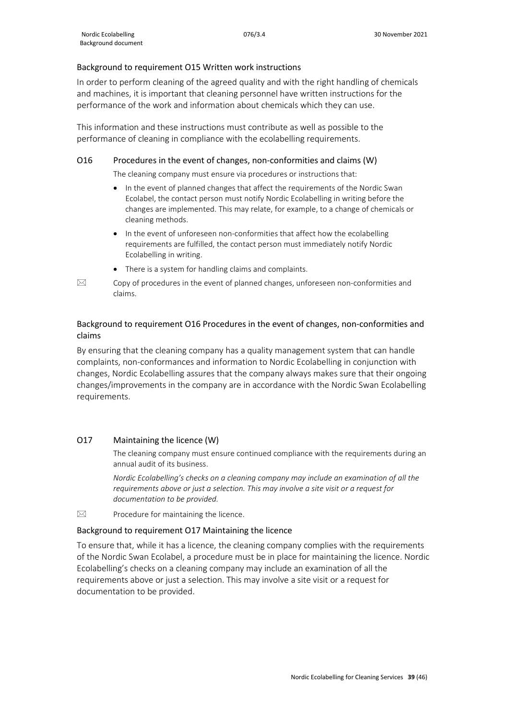#### Background to requirement O15 Written work instructions

In order to perform cleaning of the agreed quality and with the right handling of chemicals and machines, it is important that cleaning personnel have written instructions for the performance of the work and information about chemicals which they can use.

This information and these instructions must contribute as well as possible to the performance of cleaning in compliance with the ecolabelling requirements.

#### O16 Procedures in the event of changes, non-conformities and claims (W)

The cleaning company must ensure via procedures or instructions that:

- In the event of planned changes that affect the requirements of the Nordic Swan Ecolabel, the contact person must notify Nordic Ecolabelling in writing before the changes are implemented. This may relate, for example, to a change of chemicals or cleaning methods.
- In the event of unforeseen non-conformities that affect how the ecolabelling requirements are fulfilled, the contact person must immediately notify Nordic Ecolabelling in writing.
- There is a system for handling claims and complaints.
- $\boxtimes$  Copy of procedures in the event of planned changes, unforeseen non-conformities and claims.

### Background to requirement O16 Procedures in the event of changes, non-conformities and claims

By ensuring that the cleaning company has a quality management system that can handle complaints, non-conformances and information to Nordic Ecolabelling in conjunction with changes, Nordic Ecolabelling assures that the company always makes sure that their ongoing changes/improvements in the company are in accordance with the Nordic Swan Ecolabelling requirements.

#### O17 Maintaining the licence (W)

The cleaning company must ensure continued compliance with the requirements during an annual audit of its business.

*Nordic Ecolabelling's checks on a cleaning company may include an examination of all the requirements above or just a selection. This may involve a site visit or a request for documentation to be provided.*

 $\boxtimes$  Procedure for maintaining the licence.

#### Background to requirement O17 Maintaining the licence

<span id="page-38-0"></span>To ensure that, while it has a licence, the cleaning company complies with the requirements of the Nordic Swan Ecolabel, a procedure must be in place for maintaining the licence. Nordic Ecolabelling's checks on a cleaning company may include an examination of all the requirements above or just a selection. This may involve a site visit or a request for documentation to be provided.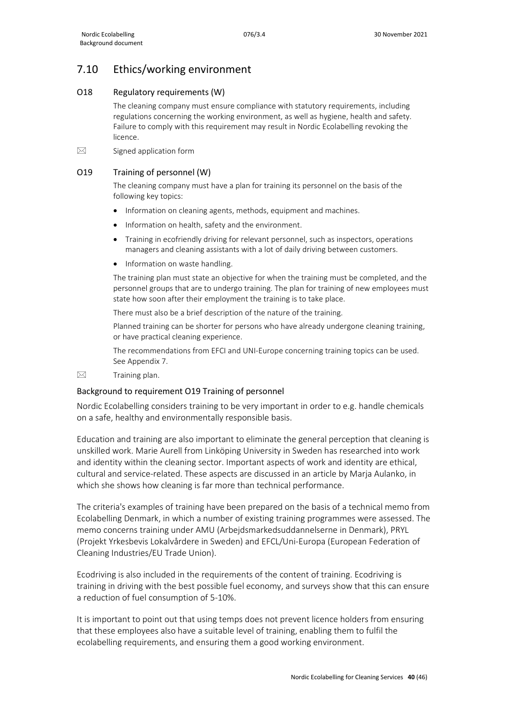## 7.10 Ethics/working environment

### O18 Regulatory requirements (W)

The cleaning company must ensure compliance with statutory requirements, including regulations concerning the working environment, as well as hygiene, health and safety. Failure to comply with this requirement may result in Nordic Ecolabelling revoking the licence.

 $\boxtimes$  Signed application form

#### O19 Training of personnel (W)

The cleaning company must have a plan for training its personnel on the basis of the following key topics:

- Information on cleaning agents, methods, equipment and machines.
- Information on health, safety and the environment.
- Training in ecofriendly driving for relevant personnel, such as inspectors, operations managers and cleaning assistants with a lot of daily driving between customers.
- Information on waste handling.

The training plan must state an objective for when the training must be completed, and the personnel groups that are to undergo training. The plan for training of new employees must state how soon after their employment the training is to take place.

There must also be a brief description of the nature of the training.

Planned training can be shorter for persons who have already undergone cleaning training, or have practical cleaning experience.

The recommendations from EFCI and UNI-Europe concerning training topics can be used. See Appendix 7.

 $\boxtimes$  Training plan.

#### Background to requirement O19 Training of personnel

Nordic Ecolabelling considers training to be very important in order to e.g. handle chemicals on a safe, healthy and environmentally responsible basis.

Education and training are also important to eliminate the general perception that cleaning is unskilled work. Marie Aurell from Linköping University in Sweden has researched into work and identity within the cleaning sector. Important aspects of work and identity are ethical, cultural and service-related. These aspects are discussed in an article by Marja Aulanko, in which she shows how cleaning is far more than technical performance.

The criteria's examples of training have been prepared on the basis of a technical memo from Ecolabelling Denmark, in which a number of existing training programmes were assessed. The memo concerns training under AMU (Arbejdsmarkedsuddannelserne in Denmark), PRYL (Projekt Yrkesbevis Lokalvårdere in Sweden) and EFCL/Uni-Europa (European Federation of Cleaning Industries/EU Trade Union).

Ecodriving is also included in the requirements of the content of training. Ecodriving is training in driving with the best possible fuel economy, and surveys show that this can ensure a reduction of fuel consumption of 5-10%.

It is important to point out that using temps does not prevent licence holders from ensuring that these employees also have a suitable level of training, enabling them to fulfil the ecolabelling requirements, and ensuring them a good working environment.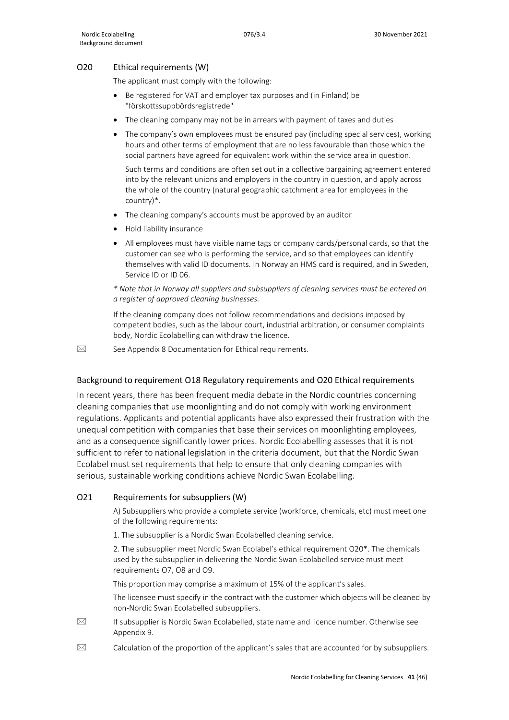#### O20 Ethical requirements (W)

The applicant must comply with the following:

- Be registered for VAT and employer tax purposes and (in Finland) be "förskottssuppbördsregistrede"
- The cleaning company may not be in arrears with payment of taxes and duties
- The company's own employees must be ensured pay (including special services), working hours and other terms of employment that are no less favourable than those which the social partners have agreed for equivalent work within the service area in question.

Such terms and conditions are often set out in a collective bargaining agreement entered into by the relevant unions and employers in the country in question, and apply across the whole of the country (natural geographic catchment area for employees in the country)\*.

- The cleaning company's accounts must be approved by an auditor
- Hold liability insurance
- All employees must have visible name tags or company cards/personal cards, so that the customer can see who is performing the service, and so that employees can identify themselves with valid ID documents. In Norway an HMS card is required, and in Sweden, Service ID or ID 06.

*\* Note that in Norway all suppliers and subsuppliers of cleaning services must be entered on a register of approved cleaning businesses.*

If the cleaning company does not follow recommendations and decisions imposed by competent bodies, such as the labour court, industrial arbitration, or consumer complaints body, Nordic Ecolabelling can withdraw the licence.

 $\boxtimes$  See Appendix 8 Documentation for Ethical requirements.

#### Background to requirement O18 Regulatory requirements and O20 Ethical requirements

In recent years, there has been frequent media debate in the Nordic countries concerning cleaning companies that use moonlighting and do not comply with working environment regulations. Applicants and potential applicants have also expressed their frustration with the unequal competition with companies that base their services on moonlighting employees, and as a consequence significantly lower prices. Nordic Ecolabelling assesses that it is not sufficient to refer to national legislation in the criteria document, but that the Nordic Swan Ecolabel must set requirements that help to ensure that only cleaning companies with serious, sustainable working conditions achieve Nordic Swan Ecolabelling.

#### O21 Requirements for subsuppliers (W)

A) Subsuppliers who provide a complete service (workforce, chemicals, etc) must meet one of the following requirements:

1. The subsupplier is a Nordic Swan Ecolabelled cleaning service.

2. The subsupplier meet Nordic Swan Ecolabel's ethical requirement O20\*. The chemicals used by the subsupplier in delivering the Nordic Swan Ecolabelled service must meet requirements O7, O8 and O9.

This proportion may comprise a maximum of 15% of the applicant's sales.

The licensee must specify in the contract with the customer which objects will be cleaned by non-Nordic Swan Ecolabelled subsuppliers.

- $\boxtimes$  If subsupplier is Nordic Swan Ecolabelled, state name and licence number. Otherwise see Appendix 9.
- $\boxtimes$  Calculation of the proportion of the applicant's sales that are accounted for by subsuppliers.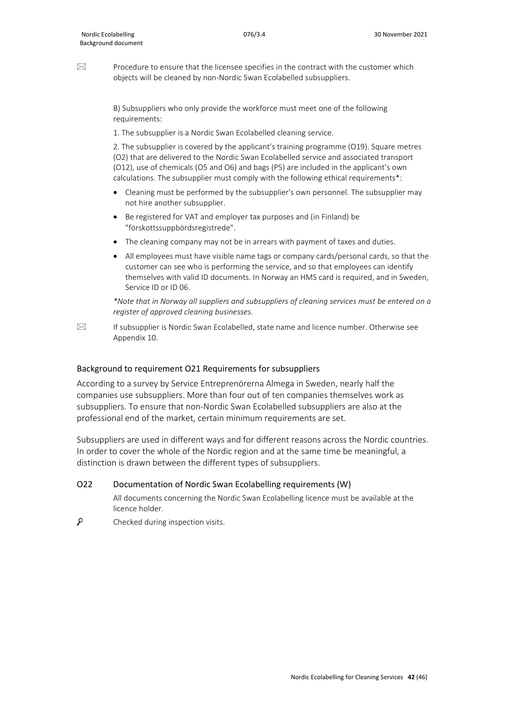$\boxtimes$  Procedure to ensure that the licensee specifies in the contract with the customer which objects will be cleaned by non-Nordic Swan Ecolabelled subsuppliers.

> B) Subsuppliers who only provide the workforce must meet one of the following requirements:

1. The subsupplier is a Nordic Swan Ecolabelled cleaning service.

2. The subsupplier is covered by the applicant's training programme (O19). Square metres (O2) that are delivered to the Nordic Swan Ecolabelled service and associated transport (O12), use of chemicals (O5 and O6) and bags (P5) are included in the applicant's own calculations. The subsupplier must comply with the following ethical requirements\*:

- Cleaning must be performed by the subsupplier's own personnel. The subsupplier may not hire another subsupplier.
- Be registered for VAT and employer tax purposes and (in Finland) be "förskottssuppbördsregistrede".
- The cleaning company may not be in arrears with payment of taxes and duties.
- All employees must have visible name tags or company cards/personal cards, so that the customer can see who is performing the service, and so that employees can identify themselves with valid ID documents. In Norway an HMS card is required, and in Sweden, Service ID or ID 06.

*\*Note that in Norway all suppliers and subsuppliers of cleaning services must be entered on a register of approved cleaning businesses.*

 $\boxtimes$  If subsupplier is Nordic Swan Ecolabelled, state name and licence number. Otherwise see Appendix 10.

#### Background to requirement O21 Requirements for subsuppliers

According to a survey by Service Entreprenörerna Almega in Sweden, nearly half the companies use subsuppliers. More than four out of ten companies themselves work as subsuppliers. To ensure that non-Nordic Swan Ecolabelled subsuppliers are also at the professional end of the market, certain minimum requirements are set.

Subsuppliers are used in different ways and for different reasons across the Nordic countries. In order to cover the whole of the Nordic region and at the same time be meaningful, a distinction is drawn between the different types of subsuppliers.

#### O22 Documentation of Nordic Swan Ecolabelling requirements (W)

All documents concerning the Nordic Swan Ecolabelling licence must be available at the licence holder.

<span id="page-41-0"></span>م Checked during inspection visits.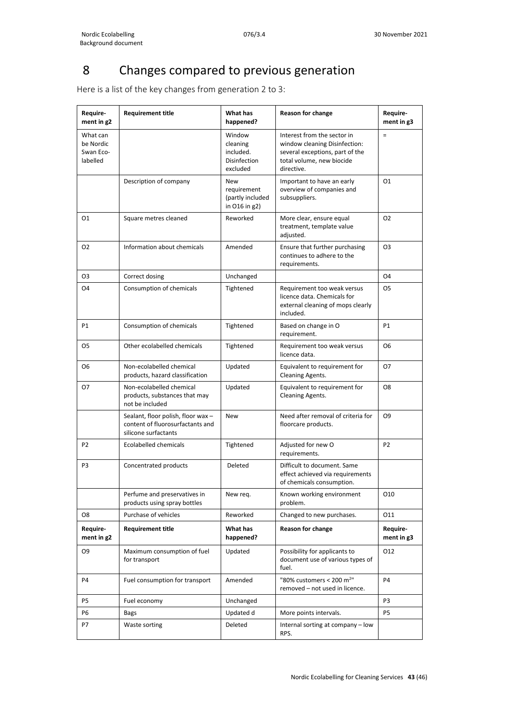# 8 Changes compared to previous generation

Here is a list of the key changes from generation 2 to 3:

| Require-<br>ment in g2                         | <b>Requirement title</b>                                                                       | What has<br>happened?                                              | <b>Reason for change</b>                                                                                                                   | Require-<br>ment in g3 |
|------------------------------------------------|------------------------------------------------------------------------------------------------|--------------------------------------------------------------------|--------------------------------------------------------------------------------------------------------------------------------------------|------------------------|
| What can<br>be Nordic<br>Swan Eco-<br>labelled |                                                                                                | Window<br>cleaning<br>included.<br><b>Disinfection</b><br>excluded | Interest from the sector in<br>window cleaning Disinfection:<br>several exceptions, part of the<br>total volume, new biocide<br>directive. | $\equiv$               |
|                                                | Description of company                                                                         | <b>New</b><br>requirement<br>(partly included<br>in O16 in g2)     | Important to have an early<br>overview of companies and<br>subsuppliers.                                                                   | 01                     |
| 01                                             | Square metres cleaned                                                                          | Reworked                                                           | More clear, ensure equal<br>treatment, template value<br>adjusted.                                                                         | O <sub>2</sub>         |
| 02                                             | Information about chemicals                                                                    | Amended                                                            | Ensure that further purchasing<br>continues to adhere to the<br>requirements.                                                              | O <sub>3</sub>         |
| O3                                             | Correct dosing                                                                                 | Unchanged                                                          |                                                                                                                                            | <b>O4</b>              |
| O <sub>4</sub>                                 | Consumption of chemicals                                                                       | Tightened                                                          | Requirement too weak versus<br>licence data. Chemicals for<br>external cleaning of mops clearly<br>included.                               | O <sub>5</sub>         |
| P1                                             | Consumption of chemicals                                                                       | Tightened                                                          | Based on change in O<br>requirement.                                                                                                       | <b>P1</b>              |
| 05                                             | Other ecolabelled chemicals                                                                    | Tightened                                                          | Requirement too weak versus<br>licence data.                                                                                               | 06                     |
| O6                                             | Non-ecolabelled chemical<br>products, hazard classification                                    | Updated                                                            | Equivalent to requirement for<br><b>Cleaning Agents.</b>                                                                                   | 07                     |
| 07                                             | Non-ecolabelled chemical<br>products, substances that may<br>not be included                   | Updated                                                            | Equivalent to requirement for<br><b>Cleaning Agents.</b>                                                                                   | O8                     |
|                                                | Sealant, floor polish, floor wax -<br>content of fluorosurfactants and<br>silicone surfactants | <b>New</b>                                                         | Need after removal of criteria for<br>floorcare products.                                                                                  | O <sub>9</sub>         |
| P <sub>2</sub>                                 | Ecolabelled chemicals                                                                          | Tightened                                                          | Adjusted for new O<br>requirements.                                                                                                        | P <sub>2</sub>         |
| P <sub>3</sub>                                 | Concentrated products                                                                          | Deleted                                                            | Difficult to document. Same<br>effect achieved via requirements<br>of chemicals consumption.                                               |                        |
|                                                | Perfume and preservatives in<br>products using spray bottles                                   | New req.                                                           | Known working environment<br>problem.                                                                                                      | 010                    |
| O8                                             | Purchase of vehicles                                                                           | Reworked                                                           | Changed to new purchases.                                                                                                                  | 011                    |
| Require-<br>ment in g2                         | <b>Requirement title</b>                                                                       | What has<br>happened?                                              | <b>Reason for change</b>                                                                                                                   | Require-<br>ment in g3 |
| O9                                             | Maximum consumption of fuel<br>for transport                                                   | Updated                                                            | Possibility for applicants to<br>document use of various types of<br>fuel.                                                                 | 012                    |
| P <sub>4</sub>                                 | Fuel consumption for transport                                                                 | Amended                                                            | "80% customers < 200 m <sup>2"</sup><br>removed - not used in licence.                                                                     | <b>P4</b>              |
| P5                                             | Fuel economy                                                                                   | Unchanged                                                          |                                                                                                                                            | P3                     |
| Р6                                             | Bags                                                                                           | Updated d                                                          | More points intervals.                                                                                                                     | P5                     |
| P7                                             | Waste sorting                                                                                  | Deleted                                                            | Internal sorting at company - low<br>RPS.                                                                                                  |                        |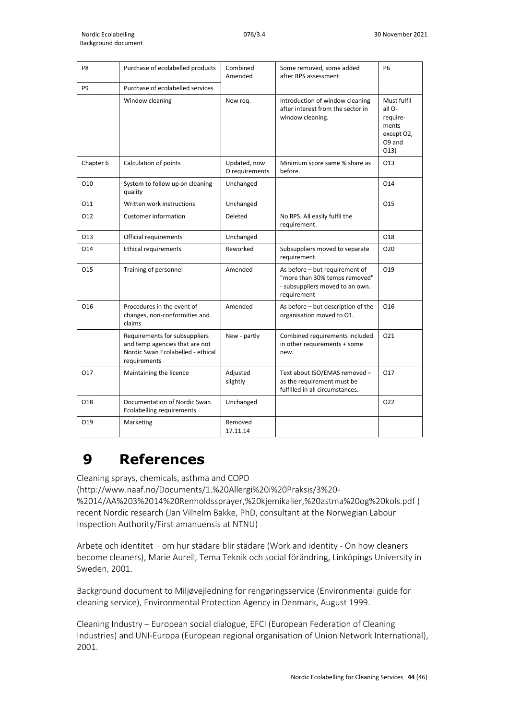| P <sub>8</sub> | Purchase of ecolabelled products                                                                                     | Combined<br>Amended            | Some removed, some added<br>after RPS assessment.                                                                 | <b>P6</b>                                                                   |
|----------------|----------------------------------------------------------------------------------------------------------------------|--------------------------------|-------------------------------------------------------------------------------------------------------------------|-----------------------------------------------------------------------------|
| P <sub>9</sub> | Purchase of ecolabelled services                                                                                     |                                |                                                                                                                   |                                                                             |
|                | Window cleaning                                                                                                      | New req.                       | Introduction of window cleaning<br>after interest from the sector in<br>window cleaning.                          | Must fulfil<br>all O-<br>require-<br>ments<br>except O2,<br>O9 and<br>O(13) |
| Chapter 6      | Calculation of points                                                                                                | Updated, now<br>O requirements | Minimum score same % share as<br>before.                                                                          | 013                                                                         |
| 010            | System to follow up on cleaning<br>quality                                                                           | Unchanged                      |                                                                                                                   | 014                                                                         |
| 011            | Written work instructions                                                                                            | Unchanged                      |                                                                                                                   | 015                                                                         |
| 012            | <b>Customer information</b>                                                                                          | Deleted                        | No RPS. All easily fulfil the<br>requirement.                                                                     |                                                                             |
| 013            | Official requirements                                                                                                | Unchanged                      |                                                                                                                   | 018                                                                         |
| 014            | <b>Ethical requirements</b>                                                                                          | Reworked                       | Subsuppliers moved to separate<br>requirement.                                                                    | O <sub>20</sub>                                                             |
| 015            | Training of personnel                                                                                                | Amended                        | As before - but requirement of<br>"more than 30% temps removed"<br>- subsuppliers moved to an own.<br>requirement | O19                                                                         |
| 016            | Procedures in the event of<br>changes, non-conformities and<br>claims                                                | Amended                        | As before – but description of the<br>organisation moved to O1.                                                   | 016                                                                         |
|                | Requirements for subsuppliers<br>and temp agencies that are not<br>Nordic Swan Ecolabelled - ethical<br>requirements | New - partly                   | Combined requirements included<br>in other requirements + some<br>new.                                            | 021                                                                         |
| 017            | Maintaining the licence                                                                                              | Adjusted<br>slightly           | Text about ISO/EMAS removed -<br>as the requirement must be<br>fulfilled in all circumstances.                    | 017                                                                         |
| 018            | Documentation of Nordic Swan<br><b>Ecolabelling requirements</b>                                                     | Unchanged                      |                                                                                                                   | O <sub>22</sub>                                                             |
| 019            | Marketing                                                                                                            | Removed<br>17.11.14            |                                                                                                                   |                                                                             |

# **9 References**

Cleaning sprays, chemicals, asthma and COPD

(http://www.naaf.no/Documents/1.%20Allergi%20i%20Praksis/3%20-

%2014/AA%203%2014%20Renholdssprayer,%20kjemikalier,%20astma%20og%20kols.pdf ) recent Nordic research (Jan Vilhelm Bakke, PhD, consultant at the Norwegian Labour Inspection Authority/First amanuensis at NTNU)

Arbete och identitet – om hur städare blir städare (Work and identity - On how cleaners become cleaners), Marie Aurell, Tema Teknik och social förändring, Linköpings University in Sweden, 2001.

Background document to Miljøvejledning for rengøringsservice (Environmental guide for cleaning service), Environmental Protection Agency in Denmark, August 1999.

Cleaning Industry – European social dialogue, EFCI (European Federation of Cleaning Industries) and UNI-Europa (European regional organisation of Union Network International), 2001.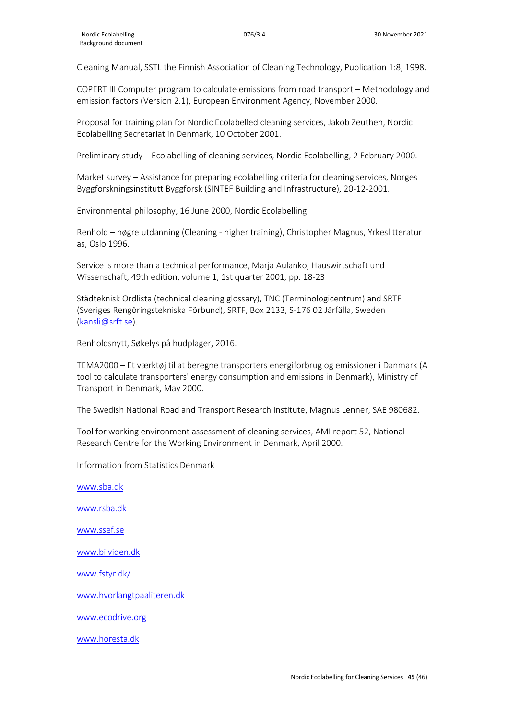Cleaning Manual, SSTL the Finnish Association of Cleaning Technology, Publication 1:8, 1998.

COPERT III Computer program to calculate emissions from road transport – Methodology and emission factors (Version 2.1), European Environment Agency, November 2000.

Proposal for training plan for Nordic Ecolabelled cleaning services, Jakob Zeuthen, Nordic Ecolabelling Secretariat in Denmark, 10 October 2001.

Preliminary study – Ecolabelling of cleaning services, Nordic Ecolabelling, 2 February 2000.

Market survey – Assistance for preparing ecolabelling criteria for cleaning services, Norges Byggforskningsinstitutt Byggforsk (SINTEF Building and Infrastructure), 20-12-2001.

Environmental philosophy, 16 June 2000, Nordic Ecolabelling.

Renhold – høgre utdanning (Cleaning - higher training), Christopher Magnus, Yrkeslitteratur as, Oslo 1996.

Service is more than a technical performance, Marja Aulanko, Hauswirtschaft und Wissenschaft, 49th edition, volume 1, 1st quarter 2001, pp. 18-23

Städteknisk Ordlista (technical cleaning glossary), TNC (Terminologicentrum) and SRTF (Sveriges Rengöringstekniska Förbund), SRTF, Box 2133, S-176 02 Järfälla, Sweden [\(kansli@srft.se\)](mailto:kansli@srft.se).

Renholdsnytt, Søkelys på hudplager, 2016.

TEMA2000 – Et værktøj til at beregne transporters energiforbrug og emissioner i Danmark (A tool to calculate transporters' energy consumption and emissions in Denmark), Ministry of Transport in Denmark, May 2000.

The Swedish National Road and Transport Research Institute, Magnus Lenner, SAE 980682.

Tool for working environment assessment of cleaning services, AMI report 52, National Research Centre for the Working Environment in Denmark, April 2000.

Information from Statistics Denmark

[www.sba.dk](http://www.sba.dk/) [www.rsba.dk](http://www.rsba.dk/) [www.ssef.se](http://liveshare.svanemerket.org/Nordisk%20Miljmrkning/Produktgrupper/Revision%20af%20version%201/Udkast%20til%20kriterier%20og%20baggrundsdokument/www.ssef.se) [www.bilviden.dk](http://www.bilviden.dk/) [www.fstyr.dk/](http://www.fstyr.dk/)

[www.hvorlangtpaaliteren.dk](http://www.hvorlangtpaaliteren.dk/)

[www.ecodrive.org](http://www.ecodrive.org/)

[www.horesta.dk](http://www.horesta.dk/)